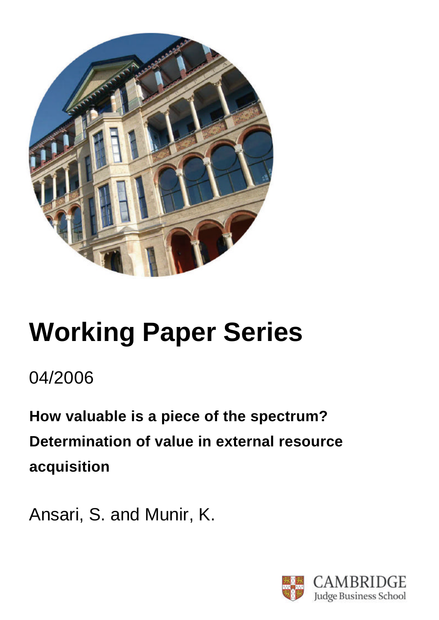

# **Working Paper Series**

04/2006

**How valuable is a piece of the spectrum? Determination of value in external resource acquisition**

Ansari, S. and Munir, K.

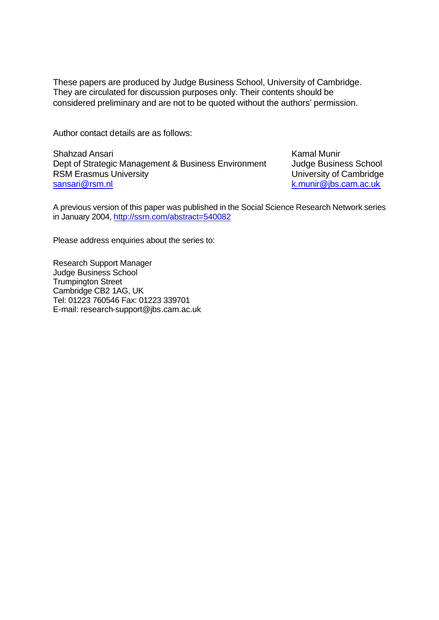These papers are produced by Judge Business School, University of Cambridge. They are circulated for discussion purposes only. Their contents should be considered preliminary and are not to be quoted without the authors' permission.

Author contact details are as follows:

Shahzad Ansari Dept of Strategic Management & Business Environment RSM Erasmus University sansari@rsm.nl

Kamal Munir Judge Business School University of Cambridge k.munir@jbs.cam.ac.uk

A previous version of this paper was published in the Social Science Research Network series in January 2004, http://ssrn.com/abstract=540082

Please address enquiries about the series to:

Research Support Manager Judge Business School Trumpington Street Cambridge CB2 1AG, UK Tel: 01223 760546 Fax: 01223 339701 E-mail: research-support@jbs.cam.ac.uk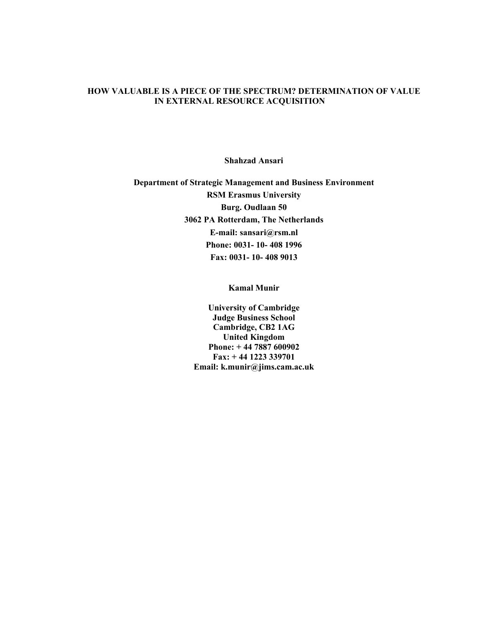## HOW VALUABLE IS A PIECE OF THE SPECTRUM? DETERMINATION OF VALUE IN EXTERNAL RESOURCE ACQUISITION

Shahzad Ansari

Department of Strategic Management and Business Environment RSM Erasmus University Burg. Oudlaan 50 3062 PA Rotterdam, The Netherlands E-mail: sansari@rsm.nl Phone: 0031- 10- 408 1996 Fax: 0031- 10- 408 9013

Kamal Munir

University of Cambridge Judge Business School Cambridge, CB2 1AG United Kingdom Phone: + 44 7887 600902 Fax: + 44 1223 339701 Email: k.munir@jims.cam.ac.uk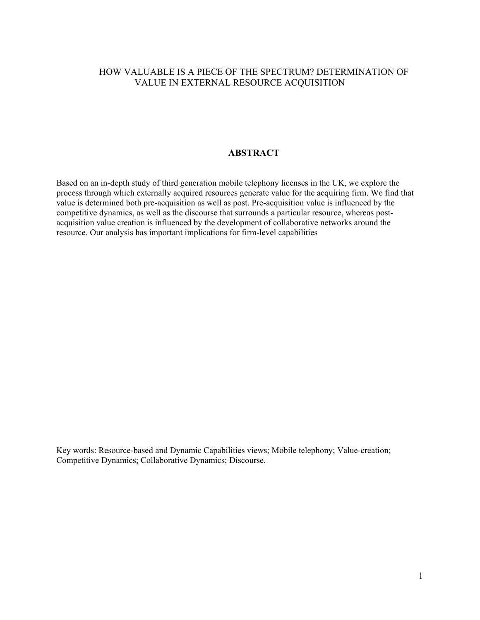# HOW VALUABLE IS A PIECE OF THE SPECTRUM? DETERMINATION OF VALUE IN EXTERNAL RESOURCE ACQUISITION

# ABSTRACT

Based on an in-depth study of third generation mobile telephony licenses in the UK, we explore the process through which externally acquired resources generate value for the acquiring firm. We find that value is determined both pre-acquisition as well as post. Pre-acquisition value is influenced by the competitive dynamics, as well as the discourse that surrounds a particular resource, whereas postacquisition value creation is influenced by the development of collaborative networks around the resource. Our analysis has important implications for firm-level capabilities

Key words: Resource-based and Dynamic Capabilities views; Mobile telephony; Value-creation; Competitive Dynamics; Collaborative Dynamics; Discourse.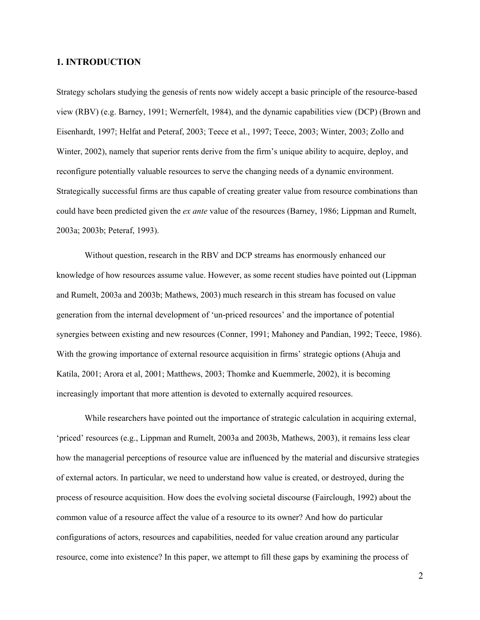#### 1. INTRODUCTION

Strategy scholars studying the genesis of rents now widely accept a basic principle of the resource-based view (RBV) (e.g. Barney, 1991; Wernerfelt, 1984), and the dynamic capabilities view (DCP) (Brown and Eisenhardt, 1997; Helfat and Peteraf, 2003; Teece et al., 1997; Teece, 2003; Winter, 2003; Zollo and Winter, 2002), namely that superior rents derive from the firm's unique ability to acquire, deploy, and reconfigure potentially valuable resources to serve the changing needs of a dynamic environment. Strategically successful firms are thus capable of creating greater value from resource combinations than could have been predicted given the *ex ante* value of the resources (Barney, 1986; Lippman and Rumelt, 2003a; 2003b; Peteraf, 1993).

Without question, research in the RBV and DCP streams has enormously enhanced our knowledge of how resources assume value. However, as some recent studies have pointed out (Lippman and Rumelt, 2003a and 2003b; Mathews, 2003) much research in this stream has focused on value generation from the internal development of 'un-priced resources' and the importance of potential synergies between existing and new resources (Conner, 1991; Mahoney and Pandian, 1992; Teece, 1986). With the growing importance of external resource acquisition in firms' strategic options (Ahuja and Katila, 2001; Arora et al, 2001; Matthews, 2003; Thomke and Kuemmerle, 2002), it is becoming increasingly important that more attention is devoted to externally acquired resources.

While researchers have pointed out the importance of strategic calculation in acquiring external, 'priced' resources (e.g., Lippman and Rumelt, 2003a and 2003b, Mathews, 2003), it remains less clear how the managerial perceptions of resource value are influenced by the material and discursive strategies of external actors. In particular, we need to understand how value is created, or destroyed, during the process of resource acquisition. How does the evolving societal discourse (Fairclough, 1992) about the common value of a resource affect the value of a resource to its owner? And how do particular configurations of actors, resources and capabilities, needed for value creation around any particular resource, come into existence? In this paper, we attempt to fill these gaps by examining the process of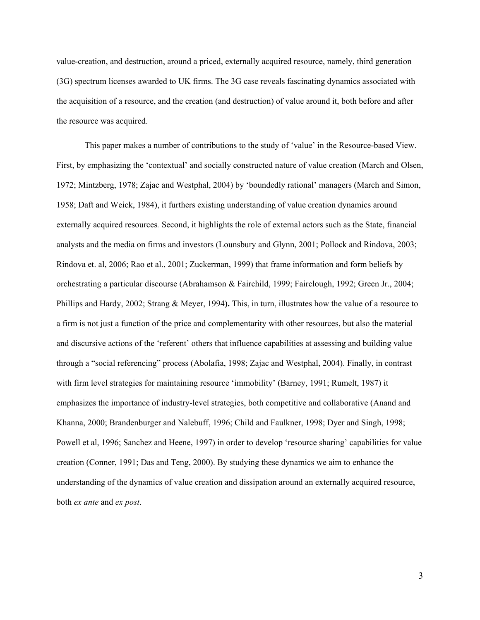value-creation, and destruction, around a priced, externally acquired resource, namely, third generation (3G) spectrum licenses awarded to UK firms. The 3G case reveals fascinating dynamics associated with the acquisition of a resource, and the creation (and destruction) of value around it, both before and after the resource was acquired.

This paper makes a number of contributions to the study of 'value' in the Resource-based View. First, by emphasizing the 'contextual' and socially constructed nature of value creation (March and Olsen, 1972; Mintzberg, 1978; Zajac and Westphal, 2004) by 'boundedly rational' managers (March and Simon, 1958; Daft and Weick, 1984), it furthers existing understanding of value creation dynamics around externally acquired resources. Second, it highlights the role of external actors such as the State, financial analysts and the media on firms and investors (Lounsbury and Glynn, 2001; Pollock and Rindova, 2003; Rindova et. al, 2006; Rao et al., 2001; Zuckerman, 1999) that frame information and form beliefs by orchestrating a particular discourse (Abrahamson & Fairchild, 1999; Fairclough, 1992; Green Jr., 2004; Phillips and Hardy, 2002; Strang & Meyer, 1994). This, in turn, illustrates how the value of a resource to a firm is not just a function of the price and complementarity with other resources, but also the material and discursive actions of the 'referent' others that influence capabilities at assessing and building value through a "social referencing" process (Abolafia, 1998; Zajac and Westphal, 2004). Finally, in contrast with firm level strategies for maintaining resource 'immobility' (Barney, 1991; Rumelt, 1987) it emphasizes the importance of industry-level strategies, both competitive and collaborative (Anand and Khanna, 2000; Brandenburger and Nalebuff, 1996; Child and Faulkner, 1998; Dyer and Singh, 1998; Powell et al, 1996; Sanchez and Heene, 1997) in order to develop 'resource sharing' capabilities for value creation (Conner, 1991; Das and Teng, 2000). By studying these dynamics we aim to enhance the understanding of the dynamics of value creation and dissipation around an externally acquired resource, both ex ante and ex post.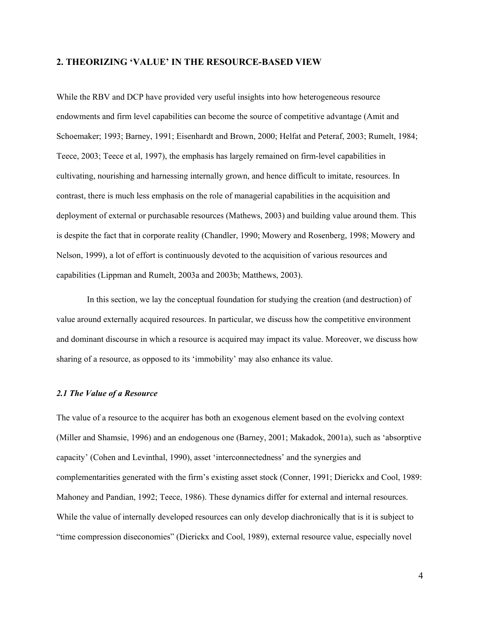#### 2. THEORIZING 'VALUE' IN THE RESOURCE-BASED VIEW

While the RBV and DCP have provided very useful insights into how heterogeneous resource endowments and firm level capabilities can become the source of competitive advantage (Amit and Schoemaker; 1993; Barney, 1991; Eisenhardt and Brown, 2000; Helfat and Peteraf, 2003; Rumelt, 1984; Teece, 2003; Teece et al, 1997), the emphasis has largely remained on firm-level capabilities in cultivating, nourishing and harnessing internally grown, and hence difficult to imitate, resources. In contrast, there is much less emphasis on the role of managerial capabilities in the acquisition and deployment of external or purchasable resources (Mathews, 2003) and building value around them. This is despite the fact that in corporate reality (Chandler, 1990; Mowery and Rosenberg, 1998; Mowery and Nelson, 1999), a lot of effort is continuously devoted to the acquisition of various resources and capabilities (Lippman and Rumelt, 2003a and 2003b; Matthews, 2003).

In this section, we lay the conceptual foundation for studying the creation (and destruction) of value around externally acquired resources. In particular, we discuss how the competitive environment and dominant discourse in which a resource is acquired may impact its value. Moreover, we discuss how sharing of a resource, as opposed to its 'immobility' may also enhance its value.

#### 2.1 The Value of a Resource

The value of a resource to the acquirer has both an exogenous element based on the evolving context (Miller and Shamsie, 1996) and an endogenous one (Barney, 2001; Makadok, 2001a), such as 'absorptive capacity' (Cohen and Levinthal, 1990), asset 'interconnectedness' and the synergies and complementarities generated with the firm's existing asset stock (Conner, 1991; Dierickx and Cool, 1989: Mahoney and Pandian, 1992; Teece, 1986). These dynamics differ for external and internal resources. While the value of internally developed resources can only develop diachronically that is it is subject to "time compression diseconomies" (Dierickx and Cool, 1989), external resource value, especially novel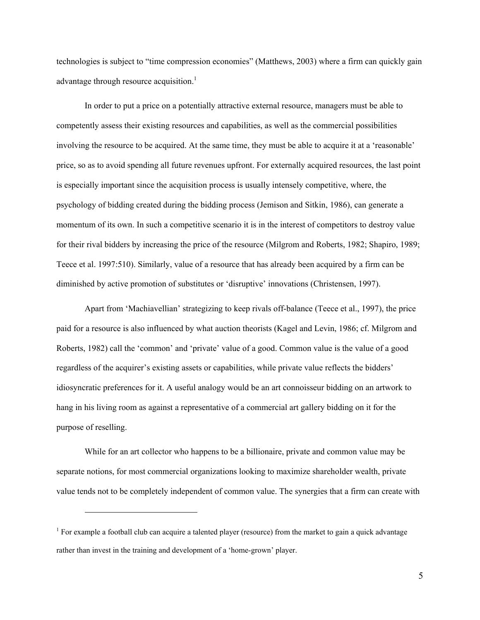technologies is subject to "time compression economies" (Matthews, 2003) where a firm can quickly gain advantage through resource acquisition.<sup>1</sup>

In order to put a price on a potentially attractive external resource, managers must be able to competently assess their existing resources and capabilities, as well as the commercial possibilities involving the resource to be acquired. At the same time, they must be able to acquire it at a 'reasonable' price, so as to avoid spending all future revenues upfront. For externally acquired resources, the last point is especially important since the acquisition process is usually intensely competitive, where, the psychology of bidding created during the bidding process (Jemison and Sitkin, 1986), can generate a momentum of its own. In such a competitive scenario it is in the interest of competitors to destroy value for their rival bidders by increasing the price of the resource (Milgrom and Roberts, 1982; Shapiro, 1989; Teece et al. 1997:510). Similarly, value of a resource that has already been acquired by a firm can be diminished by active promotion of substitutes or 'disruptive' innovations (Christensen, 1997).

Apart from 'Machiavellian' strategizing to keep rivals off-balance (Teece et al., 1997), the price paid for a resource is also influenced by what auction theorists (Kagel and Levin, 1986; cf. Milgrom and Roberts, 1982) call the 'common' and 'private' value of a good. Common value is the value of a good regardless of the acquirer's existing assets or capabilities, while private value reflects the bidders' idiosyncratic preferences for it. A useful analogy would be an art connoisseur bidding on an artwork to hang in his living room as against a representative of a commercial art gallery bidding on it for the purpose of reselling.

While for an art collector who happens to be a billionaire, private and common value may be separate notions, for most commercial organizations looking to maximize shareholder wealth, private value tends not to be completely independent of common value. The synergies that a firm can create with

<u>.</u>

<sup>&</sup>lt;sup>1</sup> For example a football club can acquire a talented player (resource) from the market to gain a quick advantage rather than invest in the training and development of a 'home-grown' player.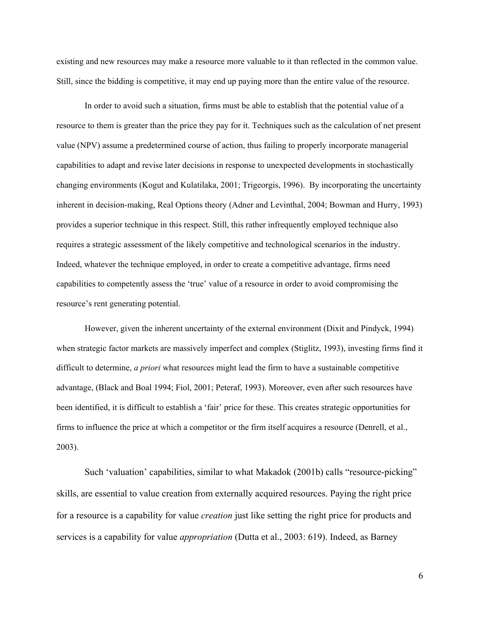existing and new resources may make a resource more valuable to it than reflected in the common value. Still, since the bidding is competitive, it may end up paying more than the entire value of the resource.

In order to avoid such a situation, firms must be able to establish that the potential value of a resource to them is greater than the price they pay for it. Techniques such as the calculation of net present value (NPV) assume a predetermined course of action, thus failing to properly incorporate managerial capabilities to adapt and revise later decisions in response to unexpected developments in stochastically changing environments (Kogut and Kulatilaka, 2001; Trigeorgis, 1996). By incorporating the uncertainty inherent in decision-making, Real Options theory (Adner and Levinthal, 2004; Bowman and Hurry, 1993) provides a superior technique in this respect. Still, this rather infrequently employed technique also requires a strategic assessment of the likely competitive and technological scenarios in the industry. Indeed, whatever the technique employed, in order to create a competitive advantage, firms need capabilities to competently assess the 'true' value of a resource in order to avoid compromising the resource's rent generating potential.

However, given the inherent uncertainty of the external environment (Dixit and Pindyck, 1994) when strategic factor markets are massively imperfect and complex (Stiglitz, 1993), investing firms find it difficult to determine, *a priori* what resources might lead the firm to have a sustainable competitive advantage, (Black and Boal 1994; Fiol, 2001; Peteraf, 1993). Moreover, even after such resources have been identified, it is difficult to establish a 'fair' price for these. This creates strategic opportunities for firms to influence the price at which a competitor or the firm itself acquires a resource (Denrell, et al., 2003).

Such 'valuation' capabilities, similar to what Makadok (2001b) calls "resource-picking" skills, are essential to value creation from externally acquired resources. Paying the right price for a resource is a capability for value *creation* just like setting the right price for products and services is a capability for value *appropriation* (Dutta et al., 2003: 619). Indeed, as Barney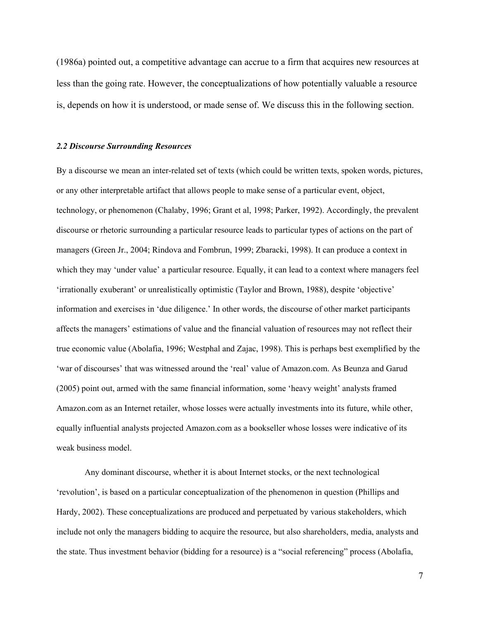(1986a) pointed out, a competitive advantage can accrue to a firm that acquires new resources at less than the going rate. However, the conceptualizations of how potentially valuable a resource is, depends on how it is understood, or made sense of. We discuss this in the following section.

#### 2.2 Discourse Surrounding Resources

By a discourse we mean an inter-related set of texts (which could be written texts, spoken words, pictures, or any other interpretable artifact that allows people to make sense of a particular event, object, technology, or phenomenon (Chalaby, 1996; Grant et al, 1998; Parker, 1992). Accordingly, the prevalent discourse or rhetoric surrounding a particular resource leads to particular types of actions on the part of managers (Green Jr., 2004; Rindova and Fombrun, 1999; Zbaracki, 1998). It can produce a context in which they may 'under value' a particular resource. Equally, it can lead to a context where managers feel 'irrationally exuberant' or unrealistically optimistic (Taylor and Brown, 1988), despite 'objective' information and exercises in 'due diligence.' In other words, the discourse of other market participants affects the managers' estimations of value and the financial valuation of resources may not reflect their true economic value (Abolafia, 1996; Westphal and Zajac, 1998). This is perhaps best exemplified by the 'war of discourses' that was witnessed around the 'real' value of Amazon.com. As Beunza and Garud (2005) point out, armed with the same financial information, some 'heavy weight' analysts framed Amazon.com as an Internet retailer, whose losses were actually investments into its future, while other, equally influential analysts projected Amazon.com as a bookseller whose losses were indicative of its weak business model.

Any dominant discourse, whether it is about Internet stocks, or the next technological 'revolution', is based on a particular conceptualization of the phenomenon in question (Phillips and Hardy, 2002). These conceptualizations are produced and perpetuated by various stakeholders, which include not only the managers bidding to acquire the resource, but also shareholders, media, analysts and the state. Thus investment behavior (bidding for a resource) is a "social referencing" process (Abolafia,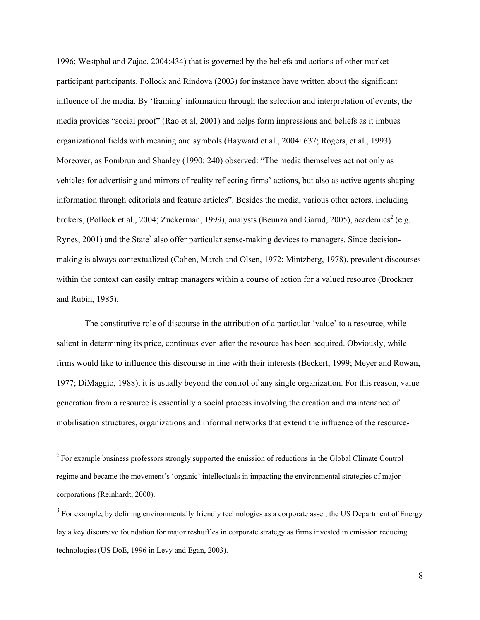1996; Westphal and Zajac, 2004:434) that is governed by the beliefs and actions of other market participant participants. Pollock and Rindova (2003) for instance have written about the significant influence of the media. By 'framing' information through the selection and interpretation of events, the media provides "social proof" (Rao et al, 2001) and helps form impressions and beliefs as it imbues organizational fields with meaning and symbols (Hayward et al., 2004: 637; Rogers, et al., 1993). Moreover, as Fombrun and Shanley (1990: 240) observed: "The media themselves act not only as vehicles for advertising and mirrors of reality reflecting firms' actions, but also as active agents shaping information through editorials and feature articles". Besides the media, various other actors, including brokers, (Pollock et al., 2004; Zuckerman, 1999), analysts (Beunza and Garud, 2005), academics<sup>2</sup> (e.g. Rynes, 2001) and the State<sup>3</sup> also offer particular sense-making devices to managers. Since decisionmaking is always contextualized (Cohen, March and Olsen, 1972; Mintzberg, 1978), prevalent discourses within the context can easily entrap managers within a course of action for a valued resource (Brockner and Rubin, 1985).

The constitutive role of discourse in the attribution of a particular 'value' to a resource, while salient in determining its price, continues even after the resource has been acquired. Obviously, while firms would like to influence this discourse in line with their interests (Beckert; 1999; Meyer and Rowan, 1977; DiMaggio, 1988), it is usually beyond the control of any single organization. For this reason, value generation from a resource is essentially a social process involving the creation and maintenance of mobilisation structures, organizations and informal networks that extend the influence of the resource-

-

<sup>&</sup>lt;sup>2</sup> For example business professors strongly supported the emission of reductions in the Global Climate Control regime and became the movement's 'organic' intellectuals in impacting the environmental strategies of major corporations (Reinhardt, 2000).

 $3$  For example, by defining environmentally friendly technologies as a corporate asset, the US Department of Energy lay a key discursive foundation for major reshuffles in corporate strategy as firms invested in emission reducing technologies (US DoE, 1996 in Levy and Egan, 2003).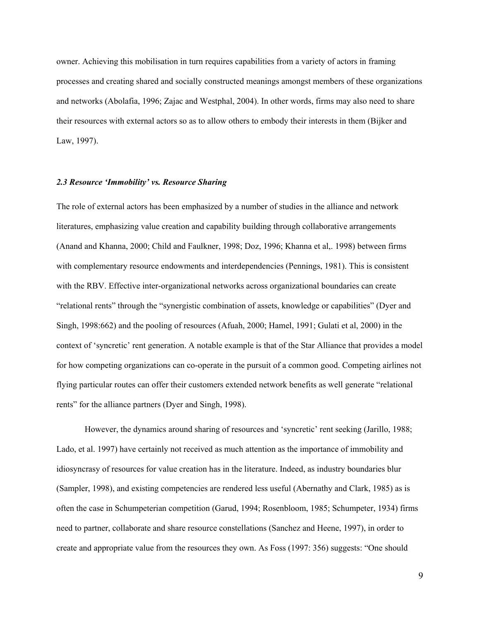owner. Achieving this mobilisation in turn requires capabilities from a variety of actors in framing processes and creating shared and socially constructed meanings amongst members of these organizations and networks (Abolafia, 1996; Zajac and Westphal, 2004). In other words, firms may also need to share their resources with external actors so as to allow others to embody their interests in them (Bijker and Law, 1997).

#### 2.3 Resource 'Immobility' vs. Resource Sharing

The role of external actors has been emphasized by a number of studies in the alliance and network literatures, emphasizing value creation and capability building through collaborative arrangements (Anand and Khanna, 2000; Child and Faulkner, 1998; Doz, 1996; Khanna et al,. 1998) between firms with complementary resource endowments and interdependencies (Pennings, 1981). This is consistent with the RBV. Effective inter-organizational networks across organizational boundaries can create "relational rents" through the "synergistic combination of assets, knowledge or capabilities" (Dyer and Singh, 1998:662) and the pooling of resources (Afuah, 2000; Hamel, 1991; Gulati et al, 2000) in the context of 'syncretic' rent generation. A notable example is that of the Star Alliance that provides a model for how competing organizations can co-operate in the pursuit of a common good. Competing airlines not flying particular routes can offer their customers extended network benefits as well generate "relational rents" for the alliance partners (Dyer and Singh, 1998).

However, the dynamics around sharing of resources and 'syncretic' rent seeking (Jarillo, 1988; Lado, et al. 1997) have certainly not received as much attention as the importance of immobility and idiosyncrasy of resources for value creation has in the literature. Indeed, as industry boundaries blur (Sampler, 1998), and existing competencies are rendered less useful (Abernathy and Clark, 1985) as is often the case in Schumpeterian competition (Garud, 1994; Rosenbloom, 1985; Schumpeter, 1934) firms need to partner, collaborate and share resource constellations (Sanchez and Heene, 1997), in order to create and appropriate value from the resources they own. As Foss (1997: 356) suggests: "One should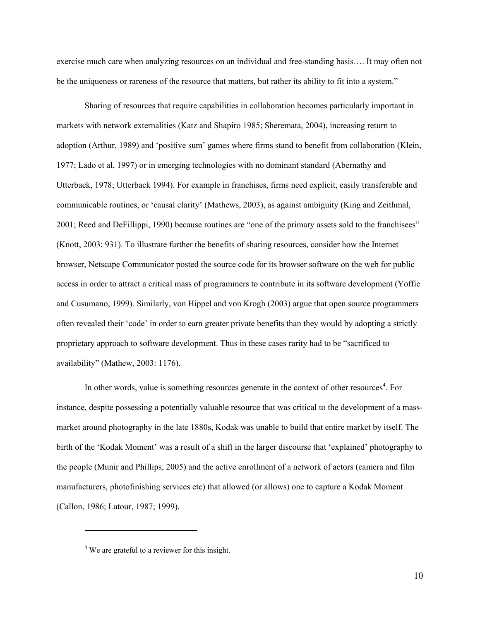exercise much care when analyzing resources on an individual and free-standing basis…. It may often not be the uniqueness or rareness of the resource that matters, but rather its ability to fit into a system."

Sharing of resources that require capabilities in collaboration becomes particularly important in markets with network externalities (Katz and Shapiro 1985; Sheremata, 2004), increasing return to adoption (Arthur, 1989) and 'positive sum' games where firms stand to benefit from collaboration (Klein, 1977; Lado et al, 1997) or in emerging technologies with no dominant standard (Abernathy and Utterback, 1978; Utterback 1994). For example in franchises, firms need explicit, easily transferable and communicable routines, or 'causal clarity' (Mathews, 2003), as against ambiguity (King and Zeithmal, 2001; Reed and DeFillippi, 1990) because routines are "one of the primary assets sold to the franchisees" (Knott, 2003: 931). To illustrate further the benefits of sharing resources, consider how the Internet browser, Netscape Communicator posted the source code for its browser software on the web for public access in order to attract a critical mass of programmers to contribute in its software development (Yoffie and Cusumano, 1999). Similarly, von Hippel and von Krogh (2003) argue that open source programmers often revealed their 'code' in order to earn greater private benefits than they would by adopting a strictly proprietary approach to software development. Thus in these cases rarity had to be "sacrificed to availability" (Mathew, 2003: 1176).

In other words, value is something resources generate in the context of other resources<sup>4</sup>. For instance, despite possessing a potentially valuable resource that was critical to the development of a massmarket around photography in the late 1880s, Kodak was unable to build that entire market by itself. The birth of the 'Kodak Moment' was a result of a shift in the larger discourse that 'explained' photography to the people (Munir and Phillips, 2005) and the active enrollment of a network of actors (camera and film manufacturers, photofinishing services etc) that allowed (or allows) one to capture a Kodak Moment (Callon, 1986; Latour, 1987; 1999).

 $\overline{a}$ 

<sup>&</sup>lt;sup>4</sup> We are grateful to a reviewer for this insight.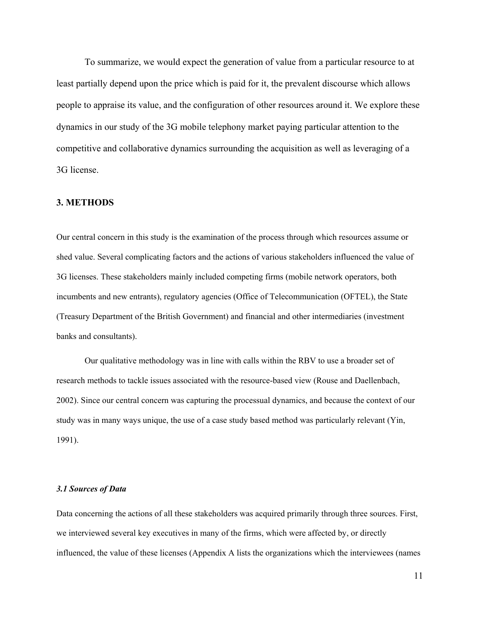To summarize, we would expect the generation of value from a particular resource to at least partially depend upon the price which is paid for it, the prevalent discourse which allows people to appraise its value, and the configuration of other resources around it. We explore these dynamics in our study of the 3G mobile telephony market paying particular attention to the competitive and collaborative dynamics surrounding the acquisition as well as leveraging of a 3G license.

## 3. METHODS

Our central concern in this study is the examination of the process through which resources assume or shed value. Several complicating factors and the actions of various stakeholders influenced the value of 3G licenses. These stakeholders mainly included competing firms (mobile network operators, both incumbents and new entrants), regulatory agencies (Office of Telecommunication (OFTEL), the State (Treasury Department of the British Government) and financial and other intermediaries (investment banks and consultants).

Our qualitative methodology was in line with calls within the RBV to use a broader set of research methods to tackle issues associated with the resource-based view (Rouse and Daellenbach, 2002). Since our central concern was capturing the processual dynamics, and because the context of our study was in many ways unique, the use of a case study based method was particularly relevant (Yin, 1991).

#### 3.1 Sources of Data

Data concerning the actions of all these stakeholders was acquired primarily through three sources. First, we interviewed several key executives in many of the firms, which were affected by, or directly influenced, the value of these licenses (Appendix A lists the organizations which the interviewees (names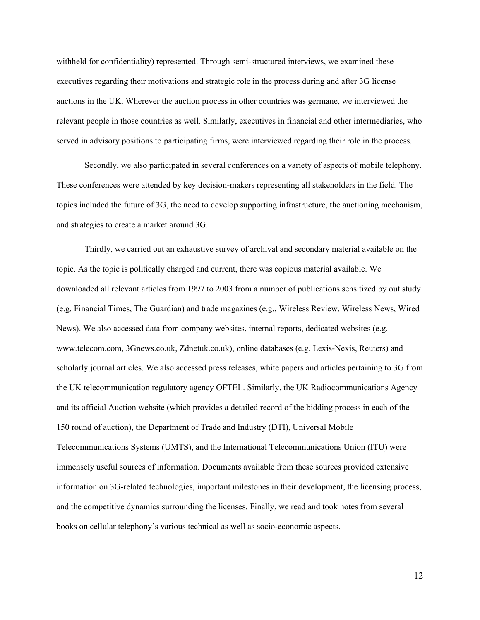withheld for confidentiality) represented. Through semi-structured interviews, we examined these executives regarding their motivations and strategic role in the process during and after 3G license auctions in the UK. Wherever the auction process in other countries was germane, we interviewed the relevant people in those countries as well. Similarly, executives in financial and other intermediaries, who served in advisory positions to participating firms, were interviewed regarding their role in the process.

Secondly, we also participated in several conferences on a variety of aspects of mobile telephony. These conferences were attended by key decision-makers representing all stakeholders in the field. The topics included the future of 3G, the need to develop supporting infrastructure, the auctioning mechanism, and strategies to create a market around 3G.

Thirdly, we carried out an exhaustive survey of archival and secondary material available on the topic. As the topic is politically charged and current, there was copious material available. We downloaded all relevant articles from 1997 to 2003 from a number of publications sensitized by out study (e.g. Financial Times, The Guardian) and trade magazines (e.g., Wireless Review, Wireless News, Wired News). We also accessed data from company websites, internal reports, dedicated websites (e.g. www.telecom.com, 3Gnews.co.uk, Zdnetuk.co.uk), online databases (e.g. Lexis-Nexis, Reuters) and scholarly journal articles. We also accessed press releases, white papers and articles pertaining to 3G from the UK telecommunication regulatory agency OFTEL. Similarly, the UK Radiocommunications Agency and its official Auction website (which provides a detailed record of the bidding process in each of the 150 round of auction), the Department of Trade and Industry (DTI), Universal Mobile Telecommunications Systems (UMTS), and the International Telecommunications Union (ITU) were immensely useful sources of information. Documents available from these sources provided extensive information on 3G-related technologies, important milestones in their development, the licensing process, and the competitive dynamics surrounding the licenses. Finally, we read and took notes from several books on cellular telephony's various technical as well as socio-economic aspects.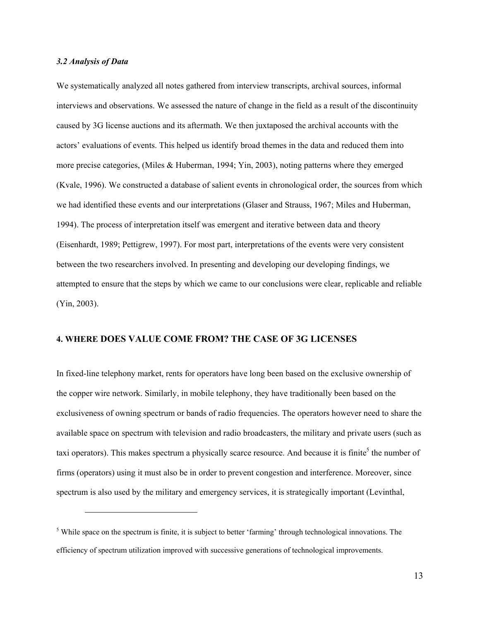#### 3.2 Analysis of Data

 $\overline{a}$ 

We systematically analyzed all notes gathered from interview transcripts, archival sources, informal interviews and observations. We assessed the nature of change in the field as a result of the discontinuity caused by 3G license auctions and its aftermath. We then juxtaposed the archival accounts with the actors' evaluations of events. This helped us identify broad themes in the data and reduced them into more precise categories, (Miles & Huberman, 1994; Yin, 2003), noting patterns where they emerged (Kvale, 1996). We constructed a database of salient events in chronological order, the sources from which we had identified these events and our interpretations (Glaser and Strauss, 1967; Miles and Huberman, 1994). The process of interpretation itself was emergent and iterative between data and theory (Eisenhardt, 1989; Pettigrew, 1997). For most part, interpretations of the events were very consistent between the two researchers involved. In presenting and developing our developing findings, we attempted to ensure that the steps by which we came to our conclusions were clear, replicable and reliable (Yin, 2003).

#### 4. WHERE DOES VALUE COME FROM? THE CASE OF 3G LICENSES

In fixed-line telephony market, rents for operators have long been based on the exclusive ownership of the copper wire network. Similarly, in mobile telephony, they have traditionally been based on the exclusiveness of owning spectrum or bands of radio frequencies. The operators however need to share the available space on spectrum with television and radio broadcasters, the military and private users (such as taxi operators). This makes spectrum a physically scarce resource. And because it is finite<sup>5</sup> the number of firms (operators) using it must also be in order to prevent congestion and interference. Moreover, since spectrum is also used by the military and emergency services, it is strategically important (Levinthal,

<sup>&</sup>lt;sup>5</sup> While space on the spectrum is finite, it is subject to better 'farming' through technological innovations. The efficiency of spectrum utilization improved with successive generations of technological improvements.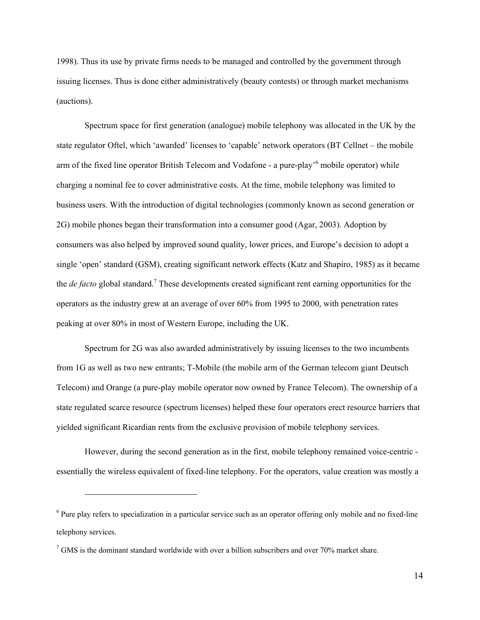1998). Thus its use by private firms needs to be managed and controlled by the government through issuing licenses. Thus is done either administratively (beauty contests) or through market mechanisms (auctions).

Spectrum space for first generation (analogue) mobile telephony was allocated in the UK by the state regulator Oftel, which 'awarded' licenses to 'capable' network operators (BT Cellnet – the mobile arm of the fixed line operator British Telecom and Vodafone - a pure-play<sup>,6</sup> mobile operator) while charging a nominal fee to cover administrative costs. At the time, mobile telephony was limited to business users. With the introduction of digital technologies (commonly known as second generation or 2G) mobile phones began their transformation into a consumer good (Agar, 2003). Adoption by consumers was also helped by improved sound quality, lower prices, and Europe's decision to adopt a single 'open' standard (GSM), creating significant network effects (Katz and Shapiro, 1985) as it became the *de facto* global standard.<sup>7</sup> These developments created significant rent earning opportunities for the operators as the industry grew at an average of over 60% from 1995 to 2000, with penetration rates peaking at over 80% in most of Western Europe, including the UK.

Spectrum for 2G was also awarded administratively by issuing licenses to the two incumbents from 1G as well as two new entrants; T-Mobile (the mobile arm of the German telecom giant Deutsch Telecom) and Orange (a pure-play mobile operator now owned by France Telecom). The ownership of a state regulated scarce resource (spectrum licenses) helped these four operators erect resource barriers that yielded significant Ricardian rents from the exclusive provision of mobile telephony services.

However, during the second generation as in the first, mobile telephony remained voice-centric essentially the wireless equivalent of fixed-line telephony. For the operators, value creation was mostly a

 $\overline{a}$ 

<sup>&</sup>lt;sup>6</sup> Pure play refers to specialization in a particular service such as an operator offering only mobile and no fixed-line telephony services.

 $7$  GMS is the dominant standard worldwide with over a billion subscribers and over 70% market share.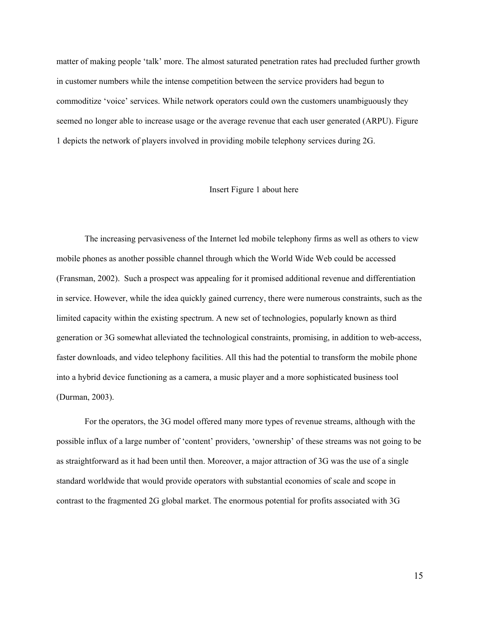matter of making people 'talk' more. The almost saturated penetration rates had precluded further growth in customer numbers while the intense competition between the service providers had begun to commoditize 'voice' services. While network operators could own the customers unambiguously they seemed no longer able to increase usage or the average revenue that each user generated (ARPU). Figure 1 depicts the network of players involved in providing mobile telephony services during 2G.

#### Insert Figure 1 about here

The increasing pervasiveness of the Internet led mobile telephony firms as well as others to view mobile phones as another possible channel through which the World Wide Web could be accessed (Fransman, 2002). Such a prospect was appealing for it promised additional revenue and differentiation in service. However, while the idea quickly gained currency, there were numerous constraints, such as the limited capacity within the existing spectrum. A new set of technologies, popularly known as third generation or 3G somewhat alleviated the technological constraints, promising, in addition to web-access, faster downloads, and video telephony facilities. All this had the potential to transform the mobile phone into a hybrid device functioning as a camera, a music player and a more sophisticated business tool (Durman, 2003).

For the operators, the 3G model offered many more types of revenue streams, although with the possible influx of a large number of 'content' providers, 'ownership' of these streams was not going to be as straightforward as it had been until then. Moreover, a major attraction of 3G was the use of a single standard worldwide that would provide operators with substantial economies of scale and scope in contrast to the fragmented 2G global market. The enormous potential for profits associated with 3G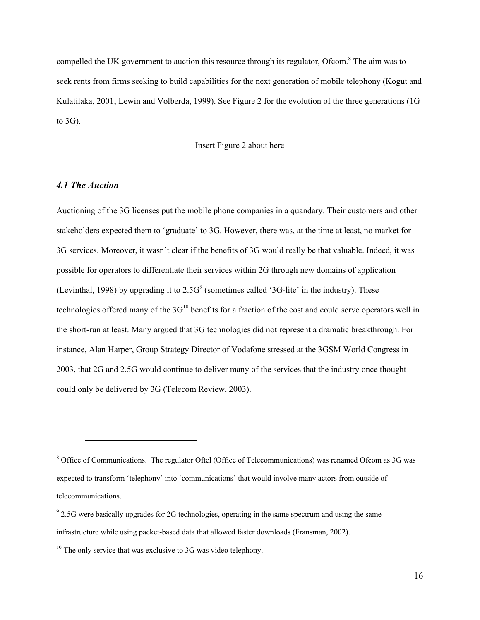compelled the UK government to auction this resource through its regulator, Ofcom.<sup>8</sup> The aim was to seek rents from firms seeking to build capabilities for the next generation of mobile telephony (Kogut and Kulatilaka, 2001; Lewin and Volberda, 1999). See Figure 2 for the evolution of the three generations (1G to 3G).

#### Insert Figure 2 about here

#### 4.1 The Auction

 $\overline{a}$ 

Auctioning of the 3G licenses put the mobile phone companies in a quandary. Their customers and other stakeholders expected them to 'graduate' to 3G. However, there was, at the time at least, no market for 3G services. Moreover, it wasn't clear if the benefits of 3G would really be that valuable. Indeed, it was possible for operators to differentiate their services within 2G through new domains of application (Levinthal, 1998) by upgrading it to  $2.5G<sup>9</sup>$  (sometimes called '3G-lite' in the industry). These technologies offered many of the  $3G<sup>10</sup>$  benefits for a fraction of the cost and could serve operators well in the short-run at least. Many argued that 3G technologies did not represent a dramatic breakthrough. For instance, Alan Harper, Group Strategy Director of Vodafone stressed at the 3GSM World Congress in 2003, that 2G and 2.5G would continue to deliver many of the services that the industry once thought could only be delivered by 3G (Telecom Review, 2003).

<sup>&</sup>lt;sup>8</sup> Office of Communications. The regulator Oftel (Office of Telecommunications) was renamed Ofcom as 3G was expected to transform 'telephony' into 'communications' that would involve many actors from outside of telecommunications.

 $9$  2.5G were basically upgrades for 2G technologies, operating in the same spectrum and using the same infrastructure while using packet-based data that allowed faster downloads (Fransman, 2002).

 $10$  The only service that was exclusive to 3G was video telephony.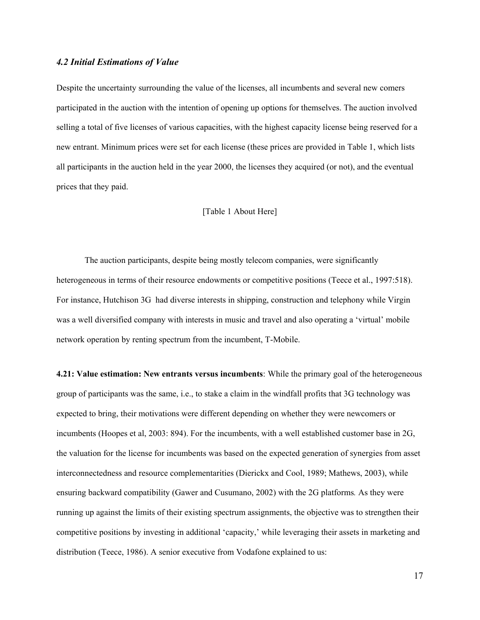#### 4.2 Initial Estimations of Value

Despite the uncertainty surrounding the value of the licenses, all incumbents and several new comers participated in the auction with the intention of opening up options for themselves. The auction involved selling a total of five licenses of various capacities, with the highest capacity license being reserved for a new entrant. Minimum prices were set for each license (these prices are provided in Table 1, which lists all participants in the auction held in the year 2000, the licenses they acquired (or not), and the eventual prices that they paid.

#### [Table 1 About Here]

The auction participants, despite being mostly telecom companies, were significantly heterogeneous in terms of their resource endowments or competitive positions (Teece et al., 1997:518). For instance, Hutchison 3G had diverse interests in shipping, construction and telephony while Virgin was a well diversified company with interests in music and travel and also operating a 'virtual' mobile network operation by renting spectrum from the incumbent, T-Mobile.

4.21: Value estimation: New entrants versus incumbents: While the primary goal of the heterogeneous group of participants was the same, i.e., to stake a claim in the windfall profits that 3G technology was expected to bring, their motivations were different depending on whether they were newcomers or incumbents (Hoopes et al, 2003: 894). For the incumbents, with a well established customer base in 2G, the valuation for the license for incumbents was based on the expected generation of synergies from asset interconnectedness and resource complementarities (Dierickx and Cool, 1989; Mathews, 2003), while ensuring backward compatibility (Gawer and Cusumano, 2002) with the 2G platforms. As they were running up against the limits of their existing spectrum assignments, the objective was to strengthen their competitive positions by investing in additional 'capacity,' while leveraging their assets in marketing and distribution (Teece, 1986). A senior executive from Vodafone explained to us: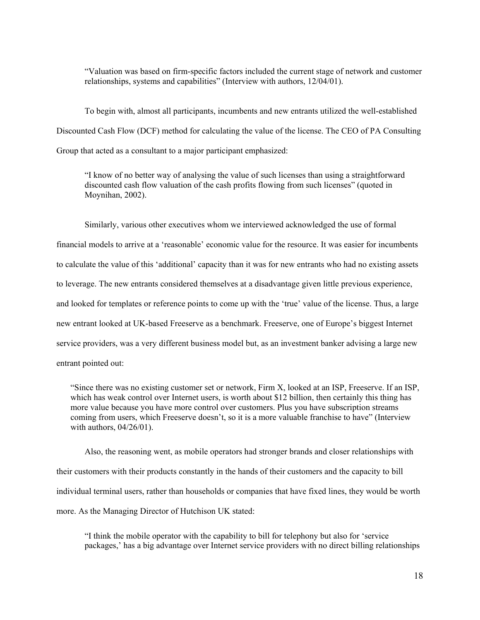"Valuation was based on firm-specific factors included the current stage of network and customer relationships, systems and capabilities" (Interview with authors, 12/04/01).

To begin with, almost all participants, incumbents and new entrants utilized the well-established Discounted Cash Flow (DCF) method for calculating the value of the license. The CEO of PA Consulting Group that acted as a consultant to a major participant emphasized:

"I know of no better way of analysing the value of such licenses than using a straightforward discounted cash flow valuation of the cash profits flowing from such licenses" (quoted in Moynihan, 2002).

Similarly, various other executives whom we interviewed acknowledged the use of formal financial models to arrive at a 'reasonable' economic value for the resource. It was easier for incumbents to calculate the value of this 'additional' capacity than it was for new entrants who had no existing assets to leverage. The new entrants considered themselves at a disadvantage given little previous experience, and looked for templates or reference points to come up with the 'true' value of the license. Thus, a large new entrant looked at UK-based Freeserve as a benchmark. Freeserve, one of Europe's biggest Internet service providers, was a very different business model but, as an investment banker advising a large new entrant pointed out:

"Since there was no existing customer set or network, Firm X, looked at an ISP, Freeserve. If an ISP, which has weak control over Internet users, is worth about \$12 billion, then certainly this thing has more value because you have more control over customers. Plus you have subscription streams coming from users, which Freeserve doesn't, so it is a more valuable franchise to have" (Interview with authors, 04/26/01).

Also, the reasoning went, as mobile operators had stronger brands and closer relationships with their customers with their products constantly in the hands of their customers and the capacity to bill individual terminal users, rather than households or companies that have fixed lines, they would be worth more. As the Managing Director of Hutchison UK stated:

"I think the mobile operator with the capability to bill for telephony but also for 'service packages,' has a big advantage over Internet service providers with no direct billing relationships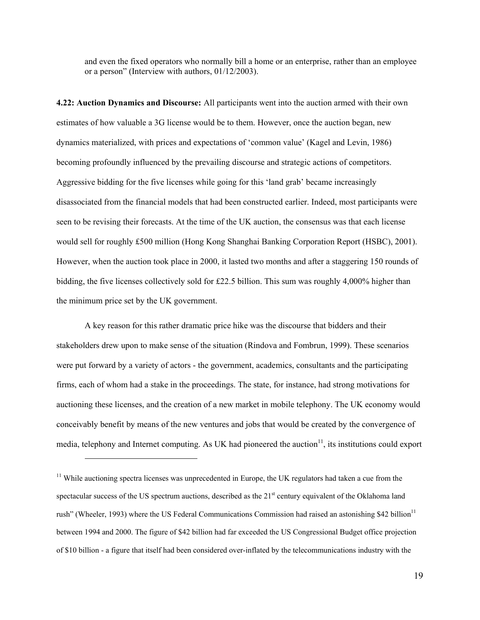and even the fixed operators who normally bill a home or an enterprise, rather than an employee or a person" (Interview with authors, 01/12/2003).

4.22: Auction Dynamics and Discourse: All participants went into the auction armed with their own estimates of how valuable a 3G license would be to them. However, once the auction began, new dynamics materialized, with prices and expectations of 'common value' (Kagel and Levin, 1986) becoming profoundly influenced by the prevailing discourse and strategic actions of competitors. Aggressive bidding for the five licenses while going for this 'land grab' became increasingly disassociated from the financial models that had been constructed earlier. Indeed, most participants were seen to be revising their forecasts. At the time of the UK auction, the consensus was that each license would sell for roughly £500 million (Hong Kong Shanghai Banking Corporation Report (HSBC), 2001). However, when the auction took place in 2000, it lasted two months and after a staggering 150 rounds of bidding, the five licenses collectively sold for £22.5 billion. This sum was roughly 4,000% higher than the minimum price set by the UK government.

A key reason for this rather dramatic price hike was the discourse that bidders and their stakeholders drew upon to make sense of the situation (Rindova and Fombrun, 1999). These scenarios were put forward by a variety of actors - the government, academics, consultants and the participating firms, each of whom had a stake in the proceedings. The state, for instance, had strong motivations for auctioning these licenses, and the creation of a new market in mobile telephony. The UK economy would conceivably benefit by means of the new ventures and jobs that would be created by the convergence of media, telephony and Internet computing. As UK had pioneered the auction<sup>11</sup>, its institutions could export

<u>.</u>

<sup>&</sup>lt;sup>11</sup> While auctioning spectra licenses was unprecedented in Europe, the UK regulators had taken a cue from the spectacular success of the US spectrum auctions, described as the 21<sup>st</sup> century equivalent of the Oklahoma land rush" (Wheeler, 1993) where the US Federal Communications Commission had raised an astonishing \$42 billion $^{11}$ between 1994 and 2000. The figure of \$42 billion had far exceeded the US Congressional Budget office projection of \$10 billion - a figure that itself had been considered over-inflated by the telecommunications industry with the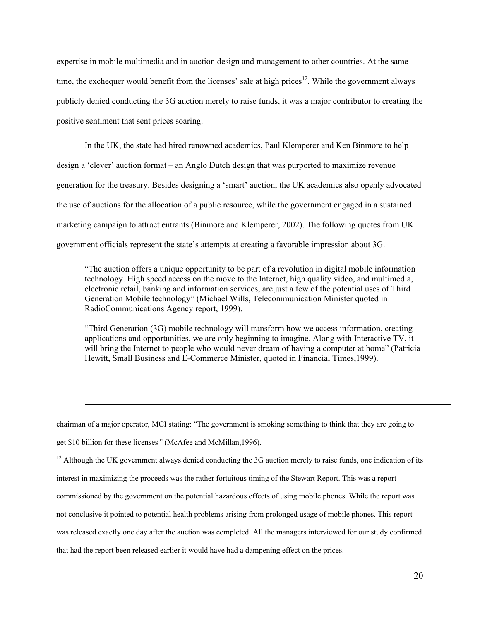expertise in mobile multimedia and in auction design and management to other countries. At the same time, the exchequer would benefit from the licenses' sale at high prices<sup>12</sup>. While the government always publicly denied conducting the 3G auction merely to raise funds, it was a major contributor to creating the positive sentiment that sent prices soaring.

In the UK, the state had hired renowned academics, Paul Klemperer and Ken Binmore to help design a 'clever' auction format – an Anglo Dutch design that was purported to maximize revenue generation for the treasury. Besides designing a 'smart' auction, the UK academics also openly advocated the use of auctions for the allocation of a public resource, while the government engaged in a sustained marketing campaign to attract entrants (Binmore and Klemperer, 2002). The following quotes from UK government officials represent the state's attempts at creating a favorable impression about 3G.

"The auction offers a unique opportunity to be part of a revolution in digital mobile information technology. High speed access on the move to the Internet, high quality video, and multimedia, electronic retail, banking and information services, are just a few of the potential uses of Third Generation Mobile technology" (Michael Wills, Telecommunication Minister quoted in RadioCommunications Agency report, 1999).

"Third Generation (3G) mobile technology will transform how we access information, creating applications and opportunities, we are only beginning to imagine. Along with Interactive TV, it will bring the Internet to people who would never dream of having a computer at home" (Patricia Hewitt, Small Business and E-Commerce Minister, quoted in Financial Times,1999).

chairman of a major operator, MCI stating: "The government is smoking something to think that they are going to get \$10 billion for these licenses" (McAfee and McMillan,1996).

<u>.</u>

 $12$  Although the UK government always denied conducting the 3G auction merely to raise funds, one indication of its interest in maximizing the proceeds was the rather fortuitous timing of the Stewart Report. This was a report commissioned by the government on the potential hazardous effects of using mobile phones. While the report was not conclusive it pointed to potential health problems arising from prolonged usage of mobile phones. This report was released exactly one day after the auction was completed. All the managers interviewed for our study confirmed that had the report been released earlier it would have had a dampening effect on the prices.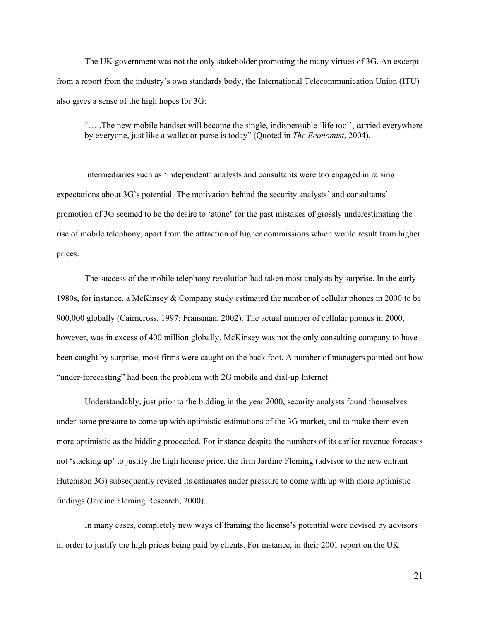The UK government was not the only stakeholder promoting the many virtues of 3G. An excerpt from a report from the industry's own standards body, the International Telecommunication Union (ITU) also gives a sense of the high hopes for 3G:

"…..The new mobile handset will become the single, indispensable 'life tool', carried everywhere by everyone, just like a wallet or purse is today" (Quoted in The Economist, 2004).

Intermediaries such as 'independent' analysts and consultants were too engaged in raising expectations about 3G's potential. The motivation behind the security analysts' and consultants' promotion of 3G seemed to be the desire to 'atone' for the past mistakes of grossly underestimating the rise of mobile telephony, apart from the attraction of higher commissions which would result from higher prices.

The success of the mobile telephony revolution had taken most analysts by surprise. In the early 1980s, for instance, a McKinsey & Company study estimated the number of cellular phones in 2000 to be 900,000 globally (Cairncross, 1997; Fransman, 2002). The actual number of cellular phones in 2000, however, was in excess of 400 million globally. McKinsey was not the only consulting company to have been caught by surprise, most firms were caught on the back foot. A number of managers pointed out how "under-forecasting" had been the problem with 2G mobile and dial-up Internet.

Understandably, just prior to the bidding in the year 2000, security analysts found themselves under some pressure to come up with optimistic estimations of the 3G market, and to make them even more optimistic as the bidding proceeded. For instance despite the numbers of its earlier revenue forecasts not 'stacking up' to justify the high license price, the firm Jardine Fleming (advisor to the new entrant Hutchison 3G) subsequently revised its estimates under pressure to come with up with more optimistic findings (Jardine Fleming Research, 2000).

In many cases, completely new ways of framing the license's potential were devised by advisors in order to justify the high prices being paid by clients. For instance, in their 2001 report on the UK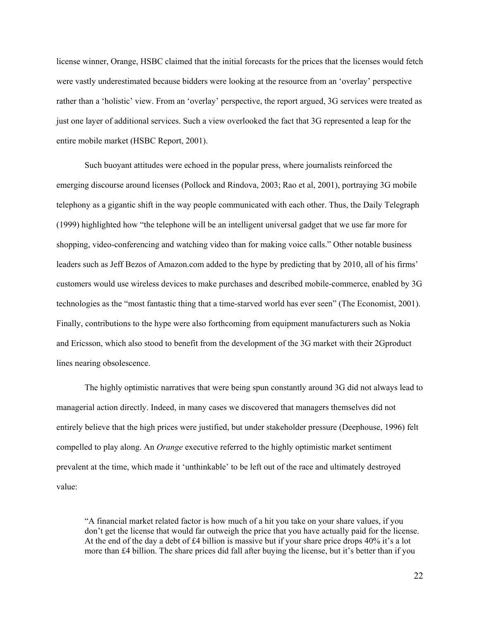license winner, Orange, HSBC claimed that the initial forecasts for the prices that the licenses would fetch were vastly underestimated because bidders were looking at the resource from an 'overlay' perspective rather than a 'holistic' view. From an 'overlay' perspective, the report argued, 3G services were treated as just one layer of additional services. Such a view overlooked the fact that 3G represented a leap for the entire mobile market (HSBC Report, 2001).

Such buoyant attitudes were echoed in the popular press, where journalists reinforced the emerging discourse around licenses (Pollock and Rindova, 2003; Rao et al, 2001), portraying 3G mobile telephony as a gigantic shift in the way people communicated with each other. Thus, the Daily Telegraph (1999) highlighted how "the telephone will be an intelligent universal gadget that we use far more for shopping, video-conferencing and watching video than for making voice calls." Other notable business leaders such as Jeff Bezos of Amazon.com added to the hype by predicting that by 2010, all of his firms' customers would use wireless devices to make purchases and described mobile-commerce, enabled by 3G technologies as the "most fantastic thing that a time-starved world has ever seen" (The Economist, 2001). Finally, contributions to the hype were also forthcoming from equipment manufacturers such as Nokia and Ericsson, which also stood to benefit from the development of the 3G market with their 2Gproduct lines nearing obsolescence.

The highly optimistic narratives that were being spun constantly around 3G did not always lead to managerial action directly. Indeed, in many cases we discovered that managers themselves did not entirely believe that the high prices were justified, but under stakeholder pressure (Deephouse, 1996) felt compelled to play along. An Orange executive referred to the highly optimistic market sentiment prevalent at the time, which made it 'unthinkable' to be left out of the race and ultimately destroyed value:

"A financial market related factor is how much of a hit you take on your share values, if you don't get the license that would far outweigh the price that you have actually paid for the license. At the end of the day a debt of £4 billion is massive but if your share price drops 40% it's a lot more than £4 billion. The share prices did fall after buying the license, but it's better than if you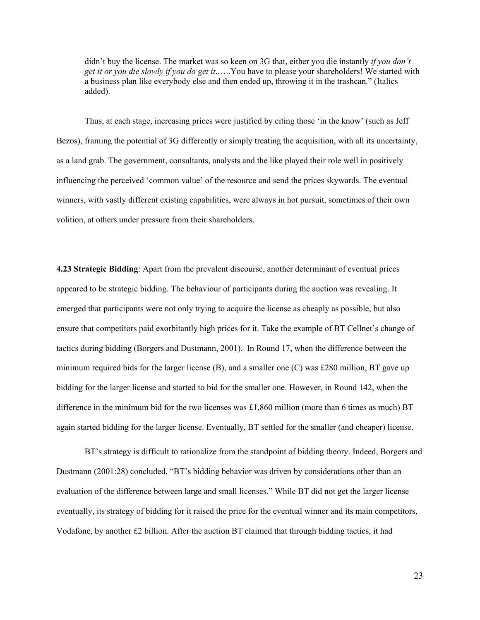didn't buy the license. The market was so keen on 3G that, either you die instantly *if you don't* get it or you die slowly if you do get it......You have to please your shareholders! We started with a business plan like everybody else and then ended up, throwing it in the trashcan." (Italics added).

Thus, at each stage, increasing prices were justified by citing those 'in the know' (such as Jeff Bezos), framing the potential of 3G differently or simply treating the acquisition, with all its uncertainty, as a land grab. The government, consultants, analysts and the like played their role well in positively influencing the perceived 'common value' of the resource and send the prices skywards. The eventual winners, with vastly different existing capabilities, were always in hot pursuit, sometimes of their own volition, at others under pressure from their shareholders.

4.23 Strategic Bidding: Apart from the prevalent discourse, another determinant of eventual prices appeared to be strategic bidding. The behaviour of participants during the auction was revealing. It emerged that participants were not only trying to acquire the license as cheaply as possible, but also ensure that competitors paid exorbitantly high prices for it. Take the example of BT Cellnet's change of tactics during bidding (Borgers and Dustmann, 2001). In Round 17, when the difference between the minimum required bids for the larger license  $(B)$ , and a smaller one  $(C)$  was £280 million, BT gave up bidding for the larger license and started to bid for the smaller one. However, in Round 142, when the difference in the minimum bid for the two licenses was £1,860 million (more than 6 times as much) BT again started bidding for the larger license. Eventually, BT settled for the smaller (and cheaper) license.

BT's strategy is difficult to rationalize from the standpoint of bidding theory. Indeed, Borgers and Dustmann (2001:28) concluded, "BT's bidding behavior was driven by considerations other than an evaluation of the difference between large and small licenses." While BT did not get the larger license eventually, its strategy of bidding for it raised the price for the eventual winner and its main competitors, Vodafone, by another £2 billion. After the auction BT claimed that through bidding tactics, it had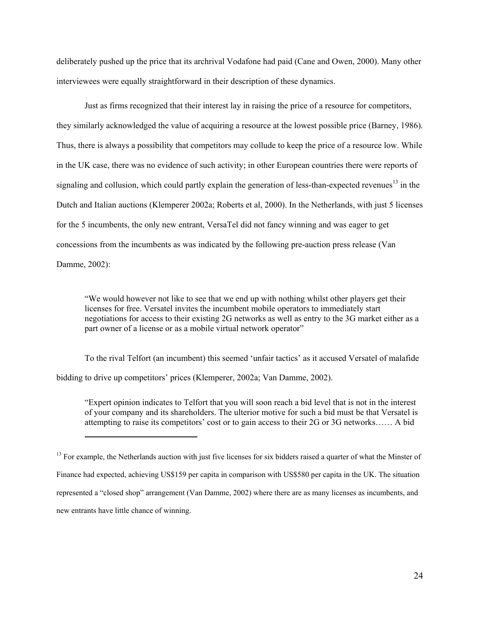deliberately pushed up the price that its archrival Vodafone had paid (Cane and Owen, 2000). Many other interviewees were equally straightforward in their description of these dynamics.

Just as firms recognized that their interest lay in raising the price of a resource for competitors, they similarly acknowledged the value of acquiring a resource at the lowest possible price (Barney, 1986). Thus, there is always a possibility that competitors may collude to keep the price of a resource low. While in the UK case, there was no evidence of such activity; in other European countries there were reports of signaling and collusion, which could partly explain the generation of less-than-expected revenues<sup>13</sup> in the Dutch and Italian auctions (Klemperer 2002a; Roberts et al, 2000). In the Netherlands, with just 5 licenses for the 5 incumbents, the only new entrant, VersaTel did not fancy winning and was eager to get concessions from the incumbents as was indicated by the following pre-auction press release (Van Damme, 2002):

"We would however not like to see that we end up with nothing whilst other players get their licenses for free. Versatel invites the incumbent mobile operators to immediately start negotiations for access to their existing 2G networks as well as entry to the 3G market either as a part owner of a license or as a mobile virtual network operator"

To the rival Telfort (an incumbent) this seemed 'unfair tactics' as it accused Versatel of malafide bidding to drive up competitors' prices (Klemperer, 2002a; Van Damme, 2002).

"Expert opinion indicates to Telfort that you will soon reach a bid level that is not in the interest of your company and its shareholders. The ulterior motive for such a bid must be that Versatel is attempting to raise its competitors' cost or to gain access to their 2G or 3G networks…… A bid

 $\overline{a}$ 

 $<sup>13</sup>$  For example, the Netherlands auction with just five licenses for six bidders raised a quarter of what the Minster of</sup> Finance had expected, achieving US\$159 per capita in comparison with US\$580 per capita in the UK. The situation represented a "closed shop" arrangement (Van Damme, 2002) where there are as many licenses as incumbents, and new entrants have little chance of winning.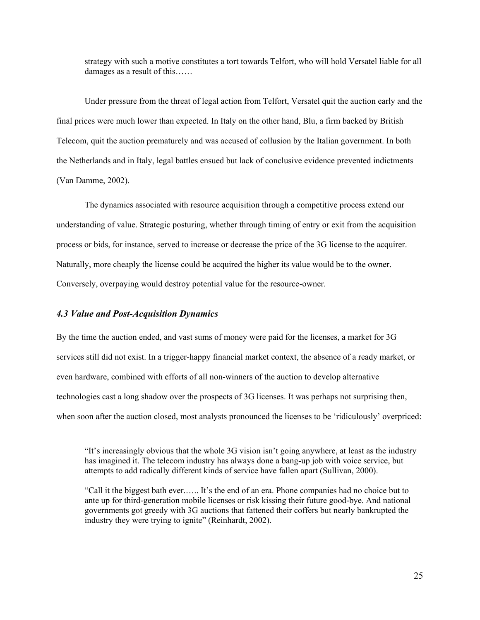strategy with such a motive constitutes a tort towards Telfort, who will hold Versatel liable for all damages as a result of this……

Under pressure from the threat of legal action from Telfort, Versatel quit the auction early and the final prices were much lower than expected. In Italy on the other hand, Blu, a firm backed by British Telecom, quit the auction prematurely and was accused of collusion by the Italian government. In both the Netherlands and in Italy, legal battles ensued but lack of conclusive evidence prevented indictments (Van Damme, 2002).

The dynamics associated with resource acquisition through a competitive process extend our understanding of value. Strategic posturing, whether through timing of entry or exit from the acquisition process or bids, for instance, served to increase or decrease the price of the 3G license to the acquirer. Naturally, more cheaply the license could be acquired the higher its value would be to the owner. Conversely, overpaying would destroy potential value for the resource-owner.

## 4.3 Value and Post-Acquisition Dynamics

By the time the auction ended, and vast sums of money were paid for the licenses, a market for 3G services still did not exist. In a trigger-happy financial market context, the absence of a ready market, or even hardware, combined with efforts of all non-winners of the auction to develop alternative technologies cast a long shadow over the prospects of 3G licenses. It was perhaps not surprising then, when soon after the auction closed, most analysts pronounced the licenses to be 'ridiculously' overpriced:

"It's increasingly obvious that the whole 3G vision isn't going anywhere, at least as the industry has imagined it. The telecom industry has always done a bang-up job with voice service, but attempts to add radically different kinds of service have fallen apart (Sullivan, 2000).

"Call it the biggest bath ever.….. It's the end of an era. Phone companies had no choice but to ante up for third-generation mobile licenses or risk kissing their future good-bye. And national governments got greedy with 3G auctions that fattened their coffers but nearly bankrupted the industry they were trying to ignite" (Reinhardt, 2002).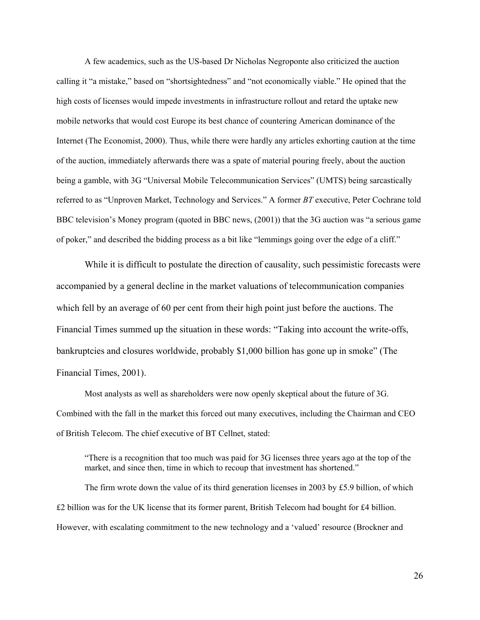A few academics, such as the US-based Dr Nicholas Negroponte also criticized the auction calling it "a mistake," based on "shortsightedness" and "not economically viable." He opined that the high costs of licenses would impede investments in infrastructure rollout and retard the uptake new mobile networks that would cost Europe its best chance of countering American dominance of the Internet (The Economist, 2000). Thus, while there were hardly any articles exhorting caution at the time of the auction, immediately afterwards there was a spate of material pouring freely, about the auction being a gamble, with 3G "Universal Mobile Telecommunication Services" (UMTS) being sarcastically referred to as "Unproven Market, Technology and Services." A former BT executive, Peter Cochrane told BBC television's Money program (quoted in BBC news, (2001)) that the 3G auction was "a serious game of poker," and described the bidding process as a bit like "lemmings going over the edge of a cliff."

While it is difficult to postulate the direction of causality, such pessimistic forecasts were accompanied by a general decline in the market valuations of telecommunication companies which fell by an average of 60 per cent from their high point just before the auctions. The Financial Times summed up the situation in these words: "Taking into account the write-offs, bankruptcies and closures worldwide, probably \$1,000 billion has gone up in smoke" (The Financial Times, 2001).

Most analysts as well as shareholders were now openly skeptical about the future of 3G. Combined with the fall in the market this forced out many executives, including the Chairman and CEO of British Telecom. The chief executive of BT Cellnet, stated:

"There is a recognition that too much was paid for 3G licenses three years ago at the top of the market, and since then, time in which to recoup that investment has shortened."

The firm wrote down the value of its third generation licenses in 2003 by £5.9 billion, of which £2 billion was for the UK license that its former parent, British Telecom had bought for £4 billion. However, with escalating commitment to the new technology and a 'valued' resource (Brockner and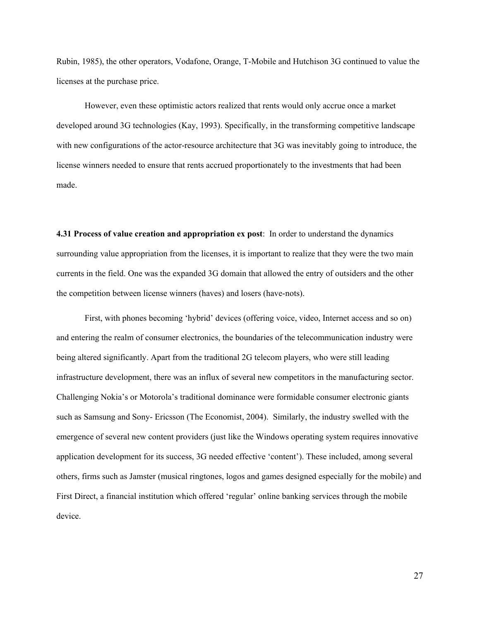Rubin, 1985), the other operators, Vodafone, Orange, T-Mobile and Hutchison 3G continued to value the licenses at the purchase price.

However, even these optimistic actors realized that rents would only accrue once a market developed around 3G technologies (Kay, 1993). Specifically, in the transforming competitive landscape with new configurations of the actor-resource architecture that 3G was inevitably going to introduce, the license winners needed to ensure that rents accrued proportionately to the investments that had been made.

4.31 Process of value creation and appropriation ex post: In order to understand the dynamics surrounding value appropriation from the licenses, it is important to realize that they were the two main currents in the field. One was the expanded 3G domain that allowed the entry of outsiders and the other the competition between license winners (haves) and losers (have-nots).

First, with phones becoming 'hybrid' devices (offering voice, video, Internet access and so on) and entering the realm of consumer electronics, the boundaries of the telecommunication industry were being altered significantly. Apart from the traditional 2G telecom players, who were still leading infrastructure development, there was an influx of several new competitors in the manufacturing sector. Challenging Nokia's or Motorola's traditional dominance were formidable consumer electronic giants such as Samsung and Sony- Ericsson (The Economist, 2004). Similarly, the industry swelled with the emergence of several new content providers (just like the Windows operating system requires innovative application development for its success, 3G needed effective 'content'). These included, among several others, firms such as Jamster (musical ringtones, logos and games designed especially for the mobile) and First Direct, a financial institution which offered 'regular' online banking services through the mobile device.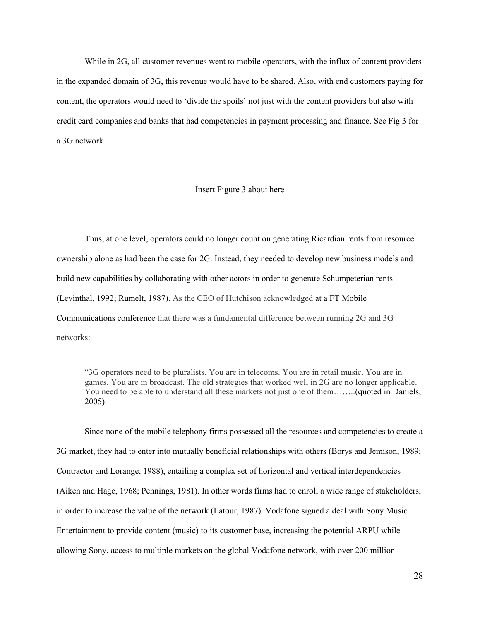While in 2G, all customer revenues went to mobile operators, with the influx of content providers in the expanded domain of 3G, this revenue would have to be shared. Also, with end customers paying for content, the operators would need to 'divide the spoils' not just with the content providers but also with credit card companies and banks that had competencies in payment processing and finance. See Fig 3 for a 3G network.

#### Insert Figure 3 about here

Thus, at one level, operators could no longer count on generating Ricardian rents from resource ownership alone as had been the case for 2G. Instead, they needed to develop new business models and build new capabilities by collaborating with other actors in order to generate Schumpeterian rents (Levinthal, 1992; Rumelt, 1987). As the CEO of Hutchison acknowledged at a FT Mobile Communications conference that there was a fundamental difference between running 2G and 3G networks:

"3G operators need to be pluralists. You are in telecoms. You are in retail music. You are in games. You are in broadcast. The old strategies that worked well in 2G are no longer applicable. You need to be able to understand all these markets not just one of them……..(quoted in Daniels, 2005).

Since none of the mobile telephony firms possessed all the resources and competencies to create a 3G market, they had to enter into mutually beneficial relationships with others (Borys and Jemison, 1989; Contractor and Lorange, 1988), entailing a complex set of horizontal and vertical interdependencies (Aiken and Hage, 1968; Pennings, 1981). In other words firms had to enroll a wide range of stakeholders, in order to increase the value of the network (Latour, 1987). Vodafone signed a deal with Sony Music Entertainment to provide content (music) to its customer base, increasing the potential ARPU while allowing Sony, access to multiple markets on the global Vodafone network, with over 200 million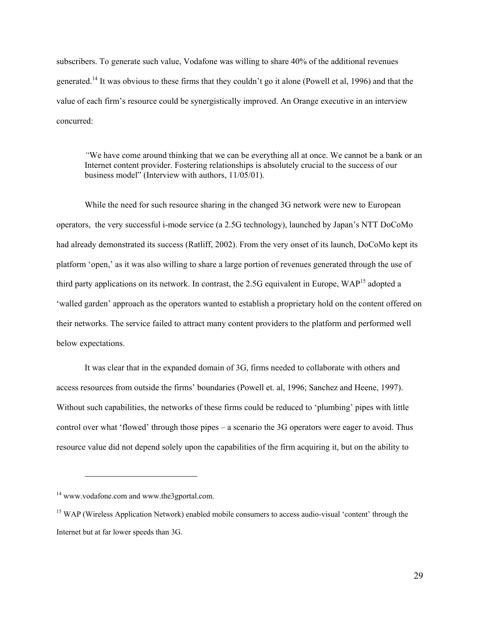subscribers. To generate such value, Vodafone was willing to share 40% of the additional revenues generated.<sup>14</sup> It was obvious to these firms that they couldn't go it alone (Powell et al, 1996) and that the value of each firm's resource could be synergistically improved. An Orange executive in an interview concurred:

"We have come around thinking that we can be everything all at once. We cannot be a bank or an Internet content provider. Fostering relationships is absolutely crucial to the success of our business model" (Interview with authors, 11/05/01).

While the need for such resource sharing in the changed 3G network were new to European operators, the very successful i-mode service (a 2.5G technology), launched by Japan's NTT DoCoMo had already demonstrated its success (Ratliff, 2002). From the very onset of its launch, DoCoMo kept its platform 'open,' as it was also willing to share a large portion of revenues generated through the use of third party applications on its network. In contrast, the 2.5G equivalent in Europe, WAP<sup>15</sup> adopted a 'walled garden' approach as the operators wanted to establish a proprietary hold on the content offered on their networks. The service failed to attract many content providers to the platform and performed well below expectations.

It was clear that in the expanded domain of 3G, firms needed to collaborate with others and access resources from outside the firms' boundaries (Powell et. al, 1996; Sanchez and Heene, 1997). Without such capabilities, the networks of these firms could be reduced to 'plumbing' pipes with little control over what 'flowed' through those pipes – a scenario the 3G operators were eager to avoid. Thus resource value did not depend solely upon the capabilities of the firm acquiring it, but on the ability to

<u>.</u>

<sup>14</sup> www.vodafone.com and www.the3gportal.com.

<sup>&</sup>lt;sup>15</sup> WAP (Wireless Application Network) enabled mobile consumers to access audio-visual 'content' through the Internet but at far lower speeds than 3G.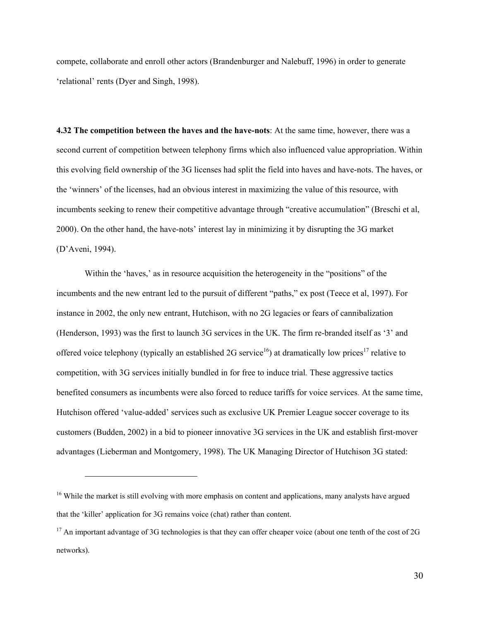compete, collaborate and enroll other actors (Brandenburger and Nalebuff, 1996) in order to generate 'relational' rents (Dyer and Singh, 1998).

4.32 The competition between the haves and the have-nots: At the same time, however, there was a second current of competition between telephony firms which also influenced value appropriation. Within this evolving field ownership of the 3G licenses had split the field into haves and have-nots. The haves, or the 'winners' of the licenses, had an obvious interest in maximizing the value of this resource, with incumbents seeking to renew their competitive advantage through "creative accumulation" (Breschi et al, 2000). On the other hand, the have-nots' interest lay in minimizing it by disrupting the 3G market (D'Aveni, 1994).

Within the 'haves,' as in resource acquisition the heterogeneity in the "positions" of the incumbents and the new entrant led to the pursuit of different "paths," ex post (Teece et al, 1997). For instance in 2002, the only new entrant, Hutchison, with no 2G legacies or fears of cannibalization (Henderson, 1993) was the first to launch 3G services in the UK. The firm re-branded itself as '3' and offered voice telephony (typically an established 2G service<sup>16</sup>) at dramatically low prices<sup>17</sup> relative to competition, with 3G services initially bundled in for free to induce trial. These aggressive tactics benefited consumers as incumbents were also forced to reduce tariffs for voice services. At the same time, Hutchison offered 'value-added' services such as exclusive UK Premier League soccer coverage to its customers (Budden, 2002) in a bid to pioneer innovative 3G services in the UK and establish first-mover advantages (Lieberman and Montgomery, 1998). The UK Managing Director of Hutchison 3G stated:

 $\overline{a}$ 

<sup>&</sup>lt;sup>16</sup> While the market is still evolving with more emphasis on content and applications, many analysts have argued that the 'killer' application for 3G remains voice (chat) rather than content.

 $17$  An important advantage of 3G technologies is that they can offer cheaper voice (about one tenth of the cost of 2G networks).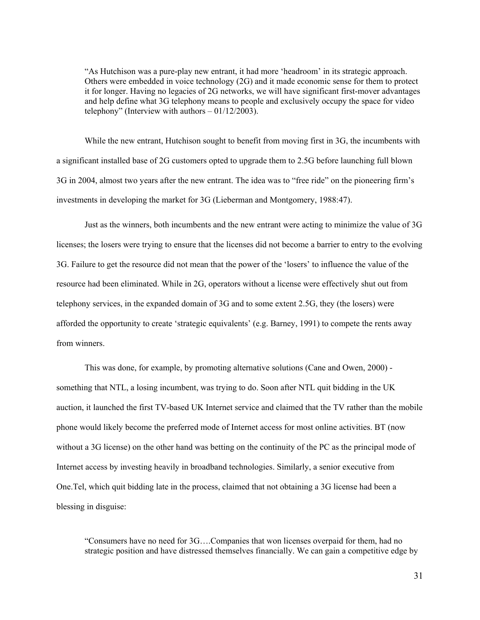"As Hutchison was a pure-play new entrant, it had more 'headroom' in its strategic approach. Others were embedded in voice technology (2G) and it made economic sense for them to protect it for longer. Having no legacies of 2G networks, we will have significant first-mover advantages and help define what 3G telephony means to people and exclusively occupy the space for video telephony" (Interview with authors  $-01/12/2003$ ).

While the new entrant, Hutchison sought to benefit from moving first in 3G, the incumbents with a significant installed base of 2G customers opted to upgrade them to 2.5G before launching full blown 3G in 2004, almost two years after the new entrant. The idea was to "free ride" on the pioneering firm's investments in developing the market for 3G (Lieberman and Montgomery, 1988:47).

Just as the winners, both incumbents and the new entrant were acting to minimize the value of 3G licenses; the losers were trying to ensure that the licenses did not become a barrier to entry to the evolving 3G. Failure to get the resource did not mean that the power of the 'losers' to influence the value of the resource had been eliminated. While in 2G, operators without a license were effectively shut out from telephony services, in the expanded domain of 3G and to some extent 2.5G, they (the losers) were afforded the opportunity to create 'strategic equivalents' (e.g. Barney, 1991) to compete the rents away from winners.

This was done, for example, by promoting alternative solutions (Cane and Owen, 2000) something that NTL, a losing incumbent, was trying to do. Soon after NTL quit bidding in the UK auction, it launched the first TV-based UK Internet service and claimed that the TV rather than the mobile phone would likely become the preferred mode of Internet access for most online activities. BT (now without a 3G license) on the other hand was betting on the continuity of the PC as the principal mode of Internet access by investing heavily in broadband technologies. Similarly, a senior executive from One.Tel, which quit bidding late in the process, claimed that not obtaining a 3G license had been a blessing in disguise:

"Consumers have no need for 3G….Companies that won licenses overpaid for them, had no strategic position and have distressed themselves financially. We can gain a competitive edge by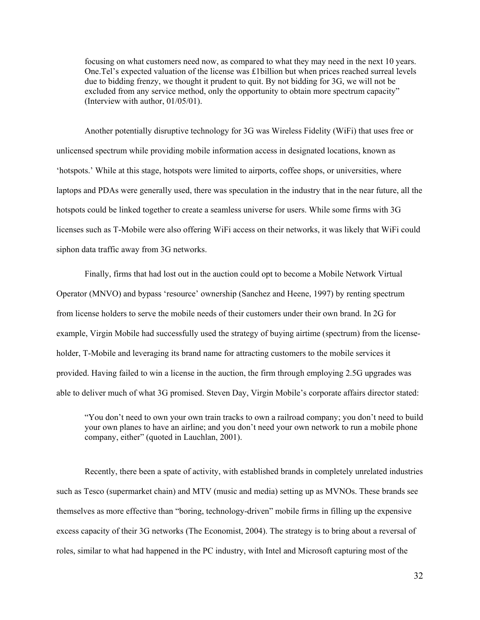focusing on what customers need now, as compared to what they may need in the next 10 years. One.Tel's expected valuation of the license was £1billion but when prices reached surreal levels due to bidding frenzy, we thought it prudent to quit. By not bidding for 3G, we will not be excluded from any service method, only the opportunity to obtain more spectrum capacity" (Interview with author, 01/05/01).

Another potentially disruptive technology for 3G was Wireless Fidelity (WiFi) that uses free or unlicensed spectrum while providing mobile information access in designated locations, known as 'hotspots.' While at this stage, hotspots were limited to airports, coffee shops, or universities, where laptops and PDAs were generally used, there was speculation in the industry that in the near future, all the hotspots could be linked together to create a seamless universe for users. While some firms with 3G licenses such as T-Mobile were also offering WiFi access on their networks, it was likely that WiFi could siphon data traffic away from 3G networks.

Finally, firms that had lost out in the auction could opt to become a Mobile Network Virtual Operator (MNVO) and bypass 'resource' ownership (Sanchez and Heene, 1997) by renting spectrum from license holders to serve the mobile needs of their customers under their own brand. In 2G for example, Virgin Mobile had successfully used the strategy of buying airtime (spectrum) from the licenseholder, T-Mobile and leveraging its brand name for attracting customers to the mobile services it provided. Having failed to win a license in the auction, the firm through employing 2.5G upgrades was able to deliver much of what 3G promised. Steven Day, Virgin Mobile's corporate affairs director stated:

"You don't need to own your own train tracks to own a railroad company; you don't need to build your own planes to have an airline; and you don't need your own network to run a mobile phone company, either" (quoted in Lauchlan, 2001).

Recently, there been a spate of activity, with established brands in completely unrelated industries such as Tesco (supermarket chain) and MTV (music and media) setting up as MVNOs. These brands see themselves as more effective than "boring, technology-driven" mobile firms in filling up the expensive excess capacity of their 3G networks (The Economist, 2004). The strategy is to bring about a reversal of roles, similar to what had happened in the PC industry, with Intel and Microsoft capturing most of the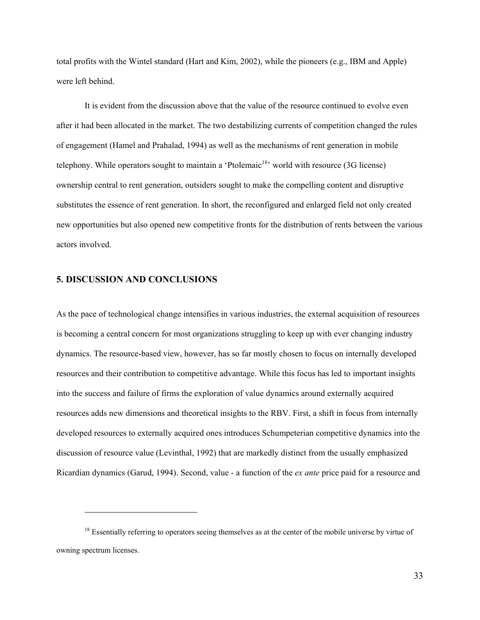total profits with the Wintel standard (Hart and Kim, 2002), while the pioneers (e.g., IBM and Apple) were left behind.

It is evident from the discussion above that the value of the resource continued to evolve even after it had been allocated in the market. The two destabilizing currents of competition changed the rules of engagement (Hamel and Prahalad, 1994) as well as the mechanisms of rent generation in mobile telephony. While operators sought to maintain a 'Ptolemaic<sup>18</sup>' world with resource (3G license) ownership central to rent generation, outsiders sought to make the compelling content and disruptive substitutes the essence of rent generation. In short, the reconfigured and enlarged field not only created new opportunities but also opened new competitive fronts for the distribution of rents between the various actors involved.

#### 5. DISCUSSION AND CONCLUSIONS

<u>.</u>

As the pace of technological change intensifies in various industries, the external acquisition of resources is becoming a central concern for most organizations struggling to keep up with ever changing industry dynamics. The resource-based view, however, has so far mostly chosen to focus on internally developed resources and their contribution to competitive advantage. While this focus has led to important insights into the success and failure of firms the exploration of value dynamics around externally acquired resources adds new dimensions and theoretical insights to the RBV. First, a shift in focus from internally developed resources to externally acquired ones introduces Schumpeterian competitive dynamics into the discussion of resource value (Levinthal, 1992) that are markedly distinct from the usually emphasized Ricardian dynamics (Garud, 1994). Second, value - a function of the ex ante price paid for a resource and

<sup>&</sup>lt;sup>18</sup> Essentially referring to operators seeing themselves as at the center of the mobile universe by virtue of owning spectrum licenses.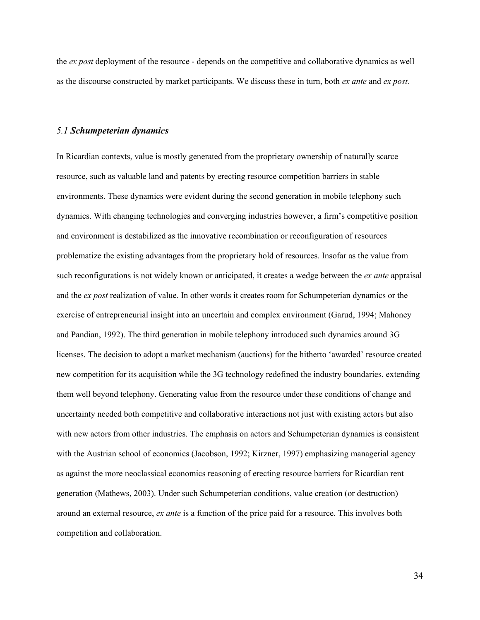the *ex post* deployment of the resource - depends on the competitive and collaborative dynamics as well as the discourse constructed by market participants. We discuss these in turn, both ex ante and ex post.

#### 5.1 Schumpeterian dynamics

In Ricardian contexts, value is mostly generated from the proprietary ownership of naturally scarce resource, such as valuable land and patents by erecting resource competition barriers in stable environments. These dynamics were evident during the second generation in mobile telephony such dynamics. With changing technologies and converging industries however, a firm's competitive position and environment is destabilized as the innovative recombination or reconfiguration of resources problematize the existing advantages from the proprietary hold of resources. Insofar as the value from such reconfigurations is not widely known or anticipated, it creates a wedge between the *ex ante* appraisal and the ex post realization of value. In other words it creates room for Schumpeterian dynamics or the exercise of entrepreneurial insight into an uncertain and complex environment (Garud, 1994; Mahoney and Pandian, 1992). The third generation in mobile telephony introduced such dynamics around 3G licenses. The decision to adopt a market mechanism (auctions) for the hitherto 'awarded' resource created new competition for its acquisition while the 3G technology redefined the industry boundaries, extending them well beyond telephony. Generating value from the resource under these conditions of change and uncertainty needed both competitive and collaborative interactions not just with existing actors but also with new actors from other industries. The emphasis on actors and Schumpeterian dynamics is consistent with the Austrian school of economics (Jacobson, 1992; Kirzner, 1997) emphasizing managerial agency as against the more neoclassical economics reasoning of erecting resource barriers for Ricardian rent generation (Mathews, 2003). Under such Schumpeterian conditions, value creation (or destruction) around an external resource, ex ante is a function of the price paid for a resource. This involves both competition and collaboration.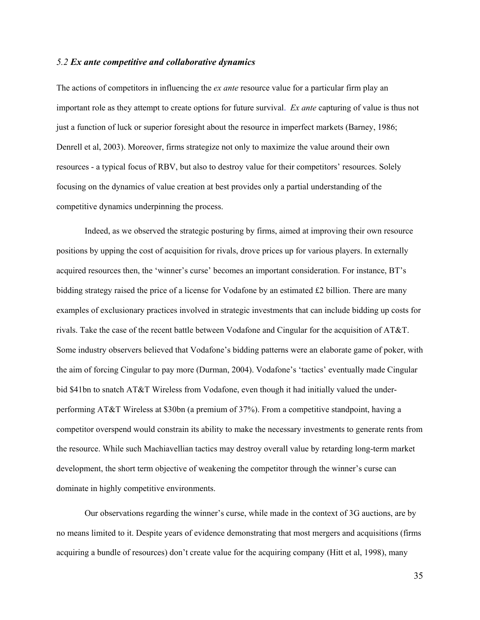#### 5.2 Ex ante competitive and collaborative dynamics

The actions of competitors in influencing the *ex ante* resource value for a particular firm play an important role as they attempt to create options for future survival. Ex ante capturing of value is thus not just a function of luck or superior foresight about the resource in imperfect markets (Barney, 1986; Denrell et al, 2003). Moreover, firms strategize not only to maximize the value around their own resources - a typical focus of RBV, but also to destroy value for their competitors' resources. Solely focusing on the dynamics of value creation at best provides only a partial understanding of the competitive dynamics underpinning the process.

Indeed, as we observed the strategic posturing by firms, aimed at improving their own resource positions by upping the cost of acquisition for rivals, drove prices up for various players. In externally acquired resources then, the 'winner's curse' becomes an important consideration. For instance, BT's bidding strategy raised the price of a license for Vodafone by an estimated £2 billion. There are many examples of exclusionary practices involved in strategic investments that can include bidding up costs for rivals. Take the case of the recent battle between Vodafone and Cingular for the acquisition of AT&T. Some industry observers believed that Vodafone's bidding patterns were an elaborate game of poker, with the aim of forcing Cingular to pay more (Durman, 2004). Vodafone's 'tactics' eventually made Cingular bid \$41bn to snatch AT&T Wireless from Vodafone, even though it had initially valued the underperforming AT&T Wireless at \$30bn (a premium of 37%). From a competitive standpoint, having a competitor overspend would constrain its ability to make the necessary investments to generate rents from the resource. While such Machiavellian tactics may destroy overall value by retarding long-term market development, the short term objective of weakening the competitor through the winner's curse can dominate in highly competitive environments.

Our observations regarding the winner's curse, while made in the context of 3G auctions, are by no means limited to it. Despite years of evidence demonstrating that most mergers and acquisitions (firms acquiring a bundle of resources) don't create value for the acquiring company (Hitt et al, 1998), many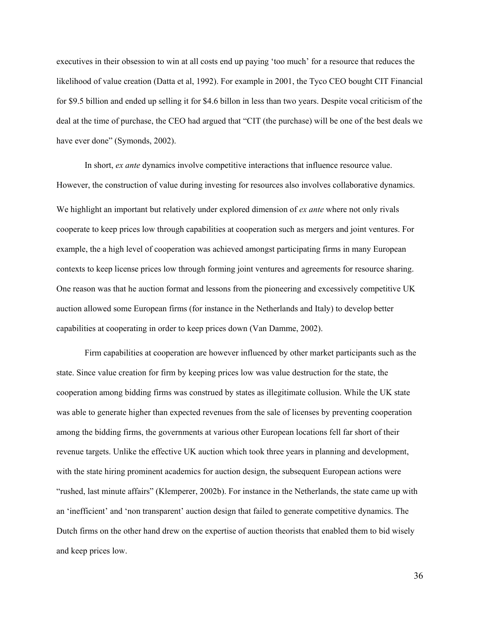executives in their obsession to win at all costs end up paying 'too much' for a resource that reduces the likelihood of value creation (Datta et al, 1992). For example in 2001, the Tyco CEO bought CIT Financial for \$9.5 billion and ended up selling it for \$4.6 billon in less than two years. Despite vocal criticism of the deal at the time of purchase, the CEO had argued that "CIT (the purchase) will be one of the best deals we have ever done" (Symonds, 2002).

In short, *ex ante* dynamics involve competitive interactions that influence resource value. However, the construction of value during investing for resources also involves collaborative dynamics. We highlight an important but relatively under explored dimension of ex ante where not only rivals cooperate to keep prices low through capabilities at cooperation such as mergers and joint ventures. For example, the a high level of cooperation was achieved amongst participating firms in many European contexts to keep license prices low through forming joint ventures and agreements for resource sharing. One reason was that he auction format and lessons from the pioneering and excessively competitive UK auction allowed some European firms (for instance in the Netherlands and Italy) to develop better capabilities at cooperating in order to keep prices down (Van Damme, 2002).

Firm capabilities at cooperation are however influenced by other market participants such as the state. Since value creation for firm by keeping prices low was value destruction for the state, the cooperation among bidding firms was construed by states as illegitimate collusion. While the UK state was able to generate higher than expected revenues from the sale of licenses by preventing cooperation among the bidding firms, the governments at various other European locations fell far short of their revenue targets. Unlike the effective UK auction which took three years in planning and development, with the state hiring prominent academics for auction design, the subsequent European actions were "rushed, last minute affairs" (Klemperer, 2002b). For instance in the Netherlands, the state came up with an 'inefficient' and 'non transparent' auction design that failed to generate competitive dynamics. The Dutch firms on the other hand drew on the expertise of auction theorists that enabled them to bid wisely and keep prices low.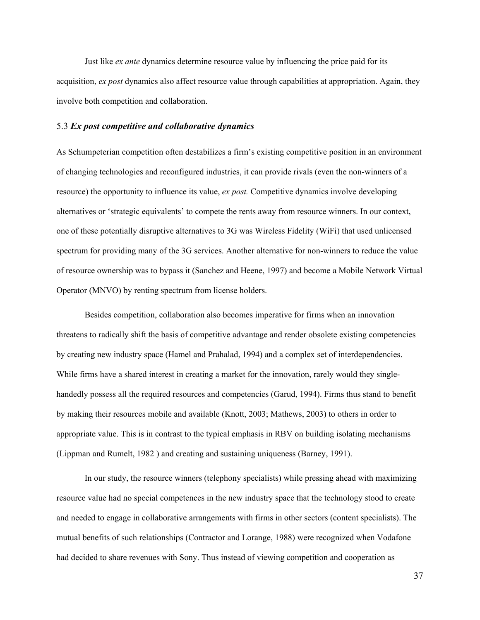Just like *ex ante* dynamics determine resource value by influencing the price paid for its acquisition, ex post dynamics also affect resource value through capabilities at appropriation. Again, they involve both competition and collaboration.

#### 5.3 Ex post competitive and collaborative dynamics

As Schumpeterian competition often destabilizes a firm's existing competitive position in an environment of changing technologies and reconfigured industries, it can provide rivals (even the non-winners of a resource) the opportunity to influence its value, *ex post*. Competitive dynamics involve developing alternatives or 'strategic equivalents' to compete the rents away from resource winners. In our context, one of these potentially disruptive alternatives to 3G was Wireless Fidelity (WiFi) that used unlicensed spectrum for providing many of the 3G services. Another alternative for non-winners to reduce the value of resource ownership was to bypass it (Sanchez and Heene, 1997) and become a Mobile Network Virtual Operator (MNVO) by renting spectrum from license holders.

Besides competition, collaboration also becomes imperative for firms when an innovation threatens to radically shift the basis of competitive advantage and render obsolete existing competencies by creating new industry space (Hamel and Prahalad, 1994) and a complex set of interdependencies. While firms have a shared interest in creating a market for the innovation, rarely would they singlehandedly possess all the required resources and competencies (Garud, 1994). Firms thus stand to benefit by making their resources mobile and available (Knott, 2003; Mathews, 2003) to others in order to appropriate value. This is in contrast to the typical emphasis in RBV on building isolating mechanisms (Lippman and Rumelt, 1982 ) and creating and sustaining uniqueness (Barney, 1991).

In our study, the resource winners (telephony specialists) while pressing ahead with maximizing resource value had no special competences in the new industry space that the technology stood to create and needed to engage in collaborative arrangements with firms in other sectors (content specialists). The mutual benefits of such relationships (Contractor and Lorange, 1988) were recognized when Vodafone had decided to share revenues with Sony. Thus instead of viewing competition and cooperation as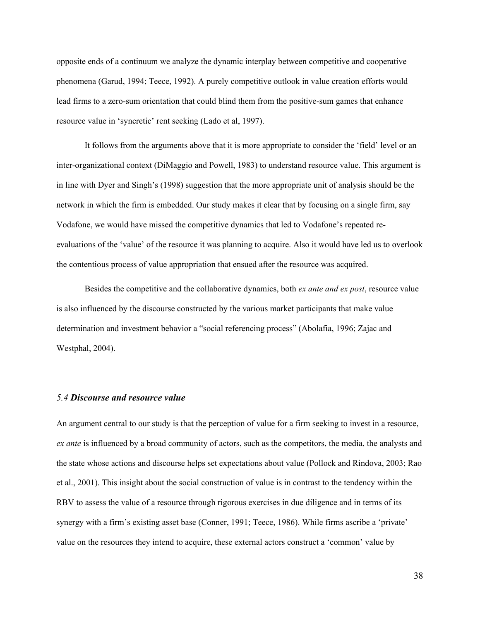opposite ends of a continuum we analyze the dynamic interplay between competitive and cooperative phenomena (Garud, 1994; Teece, 1992). A purely competitive outlook in value creation efforts would lead firms to a zero-sum orientation that could blind them from the positive-sum games that enhance resource value in 'syncretic' rent seeking (Lado et al, 1997).

It follows from the arguments above that it is more appropriate to consider the 'field' level or an inter-organizational context (DiMaggio and Powell, 1983) to understand resource value. This argument is in line with Dyer and Singh's (1998) suggestion that the more appropriate unit of analysis should be the network in which the firm is embedded. Our study makes it clear that by focusing on a single firm, say Vodafone, we would have missed the competitive dynamics that led to Vodafone's repeated reevaluations of the 'value' of the resource it was planning to acquire. Also it would have led us to overlook the contentious process of value appropriation that ensued after the resource was acquired.

Besides the competitive and the collaborative dynamics, both *ex ante and ex post*, resource value is also influenced by the discourse constructed by the various market participants that make value determination and investment behavior a "social referencing process" (Abolafia, 1996; Zajac and Westphal, 2004).

#### 5.4 Discourse and resource value

An argument central to our study is that the perception of value for a firm seeking to invest in a resource, ex ante is influenced by a broad community of actors, such as the competitors, the media, the analysts and the state whose actions and discourse helps set expectations about value (Pollock and Rindova, 2003; Rao et al., 2001). This insight about the social construction of value is in contrast to the tendency within the RBV to assess the value of a resource through rigorous exercises in due diligence and in terms of its synergy with a firm's existing asset base (Conner, 1991; Teece, 1986). While firms ascribe a 'private' value on the resources they intend to acquire, these external actors construct a 'common' value by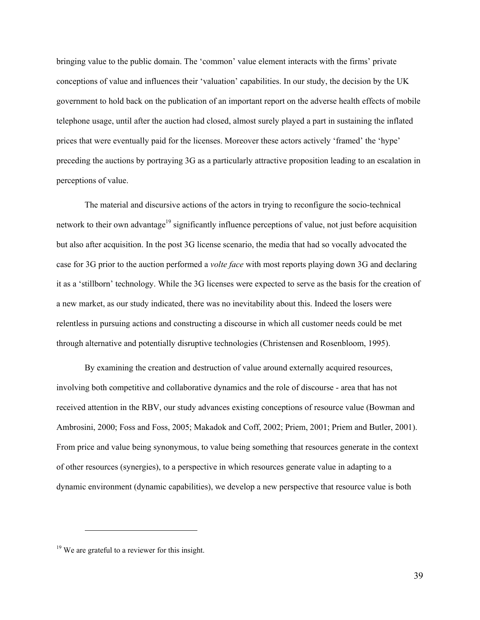bringing value to the public domain. The 'common' value element interacts with the firms' private conceptions of value and influences their 'valuation' capabilities. In our study, the decision by the UK government to hold back on the publication of an important report on the adverse health effects of mobile telephone usage, until after the auction had closed, almost surely played a part in sustaining the inflated prices that were eventually paid for the licenses. Moreover these actors actively 'framed' the 'hype' preceding the auctions by portraying 3G as a particularly attractive proposition leading to an escalation in perceptions of value.

The material and discursive actions of the actors in trying to reconfigure the socio-technical network to their own advantage<sup>19</sup> significantly influence perceptions of value, not just before acquisition but also after acquisition. In the post 3G license scenario, the media that had so vocally advocated the case for 3G prior to the auction performed a volte face with most reports playing down 3G and declaring it as a 'stillborn' technology. While the 3G licenses were expected to serve as the basis for the creation of a new market, as our study indicated, there was no inevitability about this. Indeed the losers were relentless in pursuing actions and constructing a discourse in which all customer needs could be met through alternative and potentially disruptive technologies (Christensen and Rosenbloom, 1995).

By examining the creation and destruction of value around externally acquired resources, involving both competitive and collaborative dynamics and the role of discourse - area that has not received attention in the RBV, our study advances existing conceptions of resource value (Bowman and Ambrosini, 2000; Foss and Foss, 2005; Makadok and Coff, 2002; Priem, 2001; Priem and Butler, 2001). From price and value being synonymous, to value being something that resources generate in the context of other resources (synergies), to a perspective in which resources generate value in adapting to a dynamic environment (dynamic capabilities), we develop a new perspective that resource value is both

 $\overline{a}$ 

 $19$  We are grateful to a reviewer for this insight.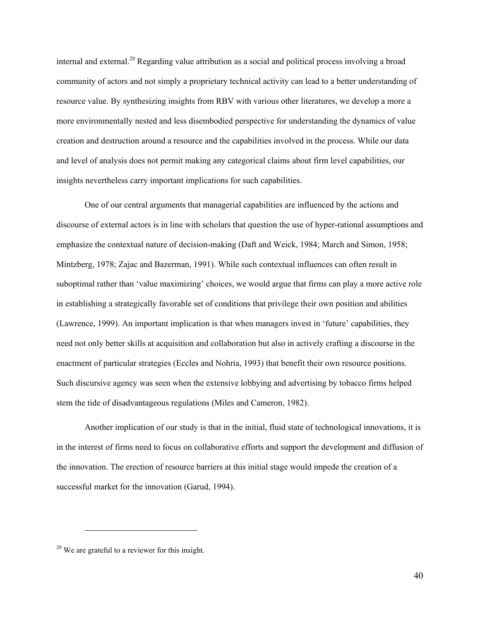internal and external.<sup>20</sup> Regarding value attribution as a social and political process involving a broad community of actors and not simply a proprietary technical activity can lead to a better understanding of resource value. By synthesizing insights from RBV with various other literatures, we develop a more a more environmentally nested and less disembodied perspective for understanding the dynamics of value creation and destruction around a resource and the capabilities involved in the process. While our data and level of analysis does not permit making any categorical claims about firm level capabilities, our insights nevertheless carry important implications for such capabilities.

One of our central arguments that managerial capabilities are influenced by the actions and discourse of external actors is in line with scholars that question the use of hyper-rational assumptions and emphasize the contextual nature of decision-making (Daft and Weick, 1984; March and Simon, 1958; Mintzberg, 1978; Zajac and Bazerman, 1991). While such contextual influences can often result in suboptimal rather than 'value maximizing' choices, we would argue that firms can play a more active role in establishing a strategically favorable set of conditions that privilege their own position and abilities (Lawrence, 1999). An important implication is that when managers invest in 'future' capabilities, they need not only better skills at acquisition and collaboration but also in actively crafting a discourse in the enactment of particular strategies (Eccles and Nohria, 1993) that benefit their own resource positions. Such discursive agency was seen when the extensive lobbying and advertising by tobacco firms helped stem the tide of disadvantageous regulations (Miles and Cameron, 1982).

Another implication of our study is that in the initial, fluid state of technological innovations, it is in the interest of firms need to focus on collaborative efforts and support the development and diffusion of the innovation. The erection of resource barriers at this initial stage would impede the creation of a successful market for the innovation (Garud, 1994).

 $\overline{a}$ 

 $20$  We are grateful to a reviewer for this insight.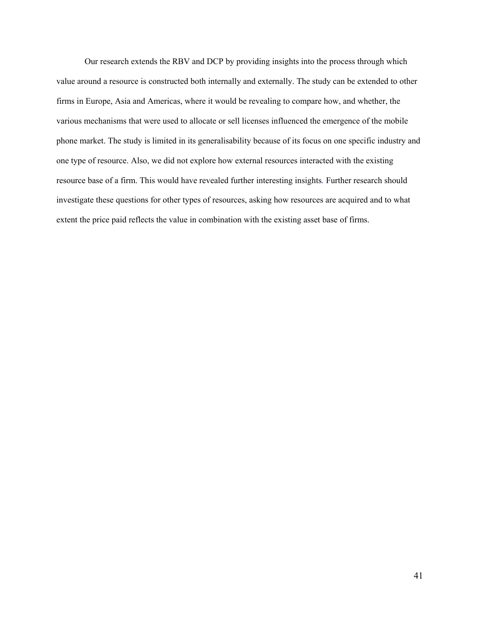Our research extends the RBV and DCP by providing insights into the process through which value around a resource is constructed both internally and externally. The study can be extended to other firms in Europe, Asia and Americas, where it would be revealing to compare how, and whether, the various mechanisms that were used to allocate or sell licenses influenced the emergence of the mobile phone market. The study is limited in its generalisability because of its focus on one specific industry and one type of resource. Also, we did not explore how external resources interacted with the existing resource base of a firm. This would have revealed further interesting insights. Further research should investigate these questions for other types of resources, asking how resources are acquired and to what extent the price paid reflects the value in combination with the existing asset base of firms.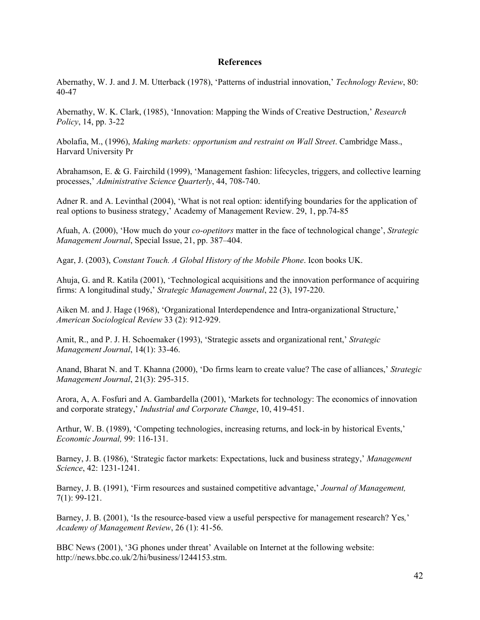#### **References**

Abernathy, W. J. and J. M. Utterback (1978), 'Patterns of industrial innovation,' Technology Review, 80: 40-47

Abernathy, W. K. Clark, (1985), 'Innovation: Mapping the Winds of Creative Destruction,' Research Policy, 14, pp. 3-22

Abolafia, M., (1996), Making markets: opportunism and restraint on Wall Street. Cambridge Mass., Harvard University Pr

Abrahamson, E. & G. Fairchild (1999), 'Management fashion: lifecycles, triggers, and collective learning processes,' Administrative Science Quarterly, 44, 708-740.

Adner R. and A. Levinthal (2004), 'What is not real option: identifying boundaries for the application of real options to business strategy,' Academy of Management Review. 29, 1, pp.74-85

Afuah, A. (2000), 'How much do your co-opetitors matter in the face of technological change', Strategic Management Journal, Special Issue, 21, pp. 387–404.

Agar, J. (2003), Constant Touch. A Global History of the Mobile Phone. Icon books UK.

Ahuja, G. and R. Katila (2001), 'Technological acquisitions and the innovation performance of acquiring firms: A longitudinal study,' Strategic Management Journal, 22 (3), 197-220.

Aiken M. and J. Hage (1968), 'Organizational Interdependence and Intra-organizational Structure,' American Sociological Review 33 (2): 912-929.

Amit, R., and P. J. H. Schoemaker (1993), 'Strategic assets and organizational rent,' Strategic Management Journal, 14(1): 33-46.

Anand, Bharat N. and T. Khanna (2000), 'Do firms learn to create value? The case of alliances,' Strategic Management Journal, 21(3): 295-315.

Arora, A, A. Fosfuri and A. Gambardella (2001), 'Markets for technology: The economics of innovation and corporate strategy,' Industrial and Corporate Change, 10, 419-451.

Arthur, W. B. (1989), 'Competing technologies, increasing returns, and lock-in by historical Events,' Economic Journal, 99: 116-131.

Barney, J. B. (1986), 'Strategic factor markets: Expectations, luck and business strategy,' Management Science, 42: 1231-1241.

Barney, J. B. (1991), 'Firm resources and sustained competitive advantage,' Journal of Management, 7(1): 99-121.

Barney, J. B. (2001), 'Is the resource-based view a useful perspective for management research? Yes,' Academy of Management Review, 26 (1): 41-56.

BBC News (2001), '3G phones under threat' Available on Internet at the following website: http://news.bbc.co.uk/2/hi/business/1244153.stm.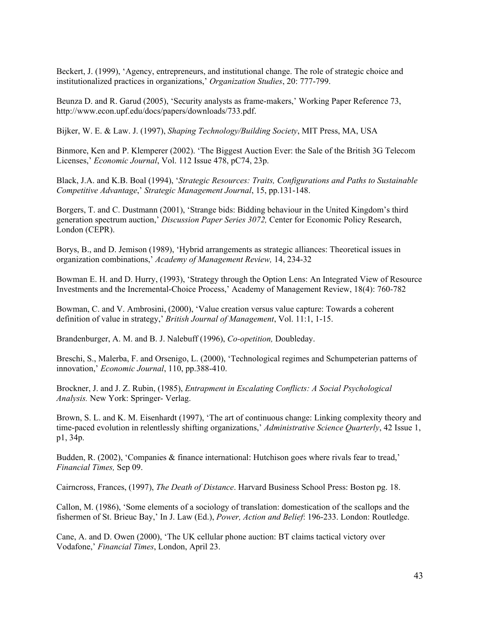Beckert, J. (1999), 'Agency, entrepreneurs, and institutional change. The role of strategic choice and institutionalized practices in organizations,' Organization Studies, 20: 777-799.

Beunza D. and R. Garud (2005), 'Security analysts as frame-makers,' Working Paper Reference 73, http://www.econ.upf.edu/docs/papers/downloads/733.pdf.

Bijker, W. E. & Law. J. (1997), Shaping Technology/Building Society, MIT Press, MA, USA

Binmore, Ken and P. Klemperer (2002). 'The Biggest Auction Ever: the Sale of the British 3G Telecom Licenses,' Economic Journal, Vol. 112 Issue 478, pC74, 23p.

Black, J.A. and K.B. Boal (1994), 'Strategic Resources: Traits, Configurations and Paths to Sustainable Competitive Advantage,' Strategic Management Journal, 15, pp.131-148.

Borgers, T. and C. Dustmann (2001), 'Strange bids: Bidding behaviour in the United Kingdom's third generation spectrum auction,' Discussion Paper Series 3072, Center for Economic Policy Research, London (CEPR).

Borys, B., and D. Jemison (1989), 'Hybrid arrangements as strategic alliances: Theoretical issues in organization combinations,' Academy of Management Review, 14, 234-32

Bowman E. H. and D. Hurry, (1993), 'Strategy through the Option Lens: An Integrated View of Resource Investments and the Incremental-Choice Process,' Academy of Management Review, 18(4): 760-782

Bowman, C. and V. Ambrosini, (2000), 'Value creation versus value capture: Towards a coherent definition of value in strategy,' British Journal of Management, Vol. 11:1, 1-15.

Brandenburger, A. M. and B. J. Nalebuff (1996), *Co-opetition*, Doubleday.

Breschi, S., Malerba, F. and Orsenigo, L. (2000), 'Technological regimes and Schumpeterian patterns of innovation,' Economic Journal, 110, pp.388-410.

Brockner, J. and J. Z. Rubin, (1985), Entrapment in Escalating Conflicts: A Social Psychological Analysis. New York: Springer- Verlag.

Brown, S. L. and K. M. Eisenhardt (1997), 'The art of continuous change: Linking complexity theory and time-paced evolution in relentlessly shifting organizations,' Administrative Science Quarterly, 42 Issue 1, p1, 34p.

Budden, R. (2002), 'Companies & finance international: Hutchison goes where rivals fear to tread,' Financial Times, Sep 09.

Cairncross, Frances, (1997), The Death of Distance. Harvard Business School Press: Boston pg. 18.

Callon, M. (1986), 'Some elements of a sociology of translation: domestication of the scallops and the fishermen of St. Brieuc Bay,' In J. Law (Ed.), Power, Action and Belief: 196-233. London: Routledge.

Cane, A. and D. Owen (2000), 'The UK cellular phone auction: BT claims tactical victory over Vodafone,' Financial Times, London, April 23.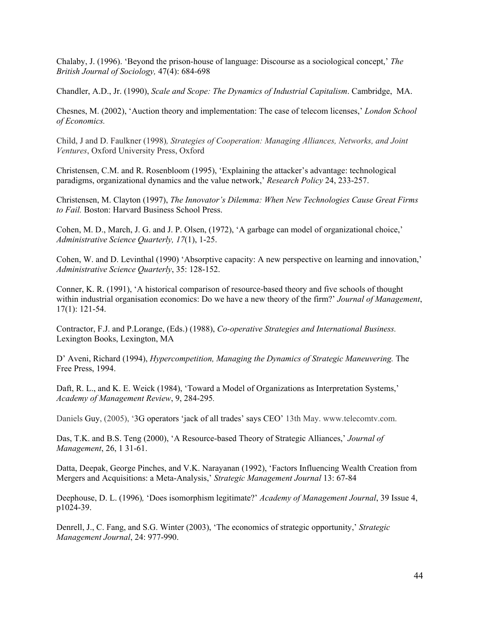Chalaby, J. (1996). 'Beyond the prison-house of language: Discourse as a sociological concept,' The British Journal of Sociology, 47(4): 684-698

Chandler, A.D., Jr. (1990), Scale and Scope: The Dynamics of Industrial Capitalism. Cambridge, MA.

Chesnes, M. (2002), 'Auction theory and implementation: The case of telecom licenses,' London School of Economics.

Child, J and D. Faulkner (1998), Strategies of Cooperation: Managing Alliances, Networks, and Joint Ventures, Oxford University Press, Oxford

Christensen, C.M. and R. Rosenbloom (1995), 'Explaining the attacker's advantage: technological paradigms, organizational dynamics and the value network,' Research Policy 24, 233-257.

Christensen, M. Clayton (1997), The Innovator's Dilemma: When New Technologies Cause Great Firms to Fail. Boston: Harvard Business School Press.

Cohen, M. D., March, J. G. and J. P. Olsen, (1972), 'A garbage can model of organizational choice,' Administrative Science Quarterly, 17(1), 1-25.

Cohen, W. and D. Levinthal (1990) 'Absorptive capacity: A new perspective on learning and innovation,' Administrative Science Quarterly, 35: 128-152.

Conner, K. R. (1991), 'A historical comparison of resource-based theory and five schools of thought within industrial organisation economics: Do we have a new theory of the firm?' Journal of Management, 17(1): 121-54.

Contractor, F.J. and P.Lorange, (Eds.) (1988), Co-operative Strategies and International Business. Lexington Books, Lexington, MA

D' Aveni, Richard (1994), *Hypercompetition, Managing the Dynamics of Strategic Maneuvering*. The Free Press, 1994.

Daft, R. L., and K. E. Weick (1984), 'Toward a Model of Organizations as Interpretation Systems,' Academy of Management Review, 9, 284-295.

Daniels Guy, (2005), '3G operators 'jack of all trades' says CEO' 13th May. www.telecomtv.com.

Das, T.K. and B.S. Teng (2000), 'A Resource-based Theory of Strategic Alliances,' Journal of Management, 26, 1 31-61.

Datta, Deepak, George Pinches, and V.K. Narayanan (1992), 'Factors Influencing Wealth Creation from Mergers and Acquisitions: a Meta-Analysis,' Strategic Management Journal 13: 67-84

Deephouse, D. L. (1996), 'Does isomorphism legitimate?' Academy of Management Journal, 39 Issue 4, p1024-39.

Denrell, J., C. Fang, and S.G. Winter (2003), 'The economics of strategic opportunity,' Strategic Management Journal, 24: 977-990.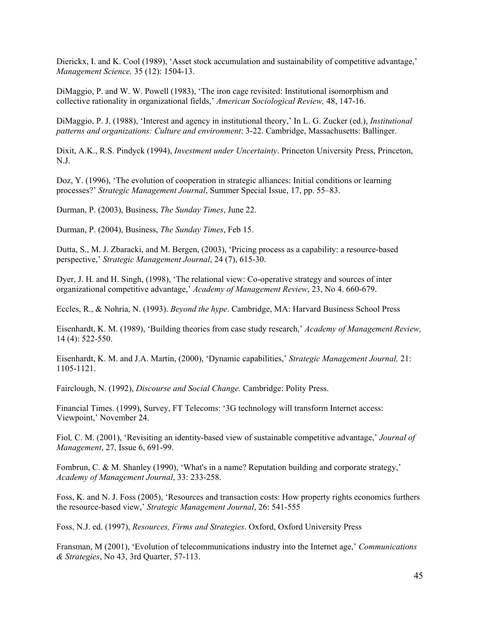Dierickx, I. and K. Cool (1989), 'Asset stock accumulation and sustainability of competitive advantage,' Management Science, 35 (12): 1504-13.

DiMaggio, P. and W. W. Powell (1983), 'The iron cage revisited: Institutional isomorphism and collective rationality in organizational fields,' American Sociological Review, 48, 147-16.

DiMaggio, P. J. (1988), 'Interest and agency in institutional theory,' In L. G. Zucker (ed.), Institutional patterns and organizations: Culture and environment: 3-22. Cambridge, Massachusetts: Ballinger.

Dixit, A.K., R.S. Pindyck (1994), Investment under Uncertainty. Princeton University Press, Princeton, N.J.

Doz, Y. (1996), 'The evolution of cooperation in strategic alliances: Initial conditions or learning processes?' Strategic Management Journal, Summer Special Issue, 17, pp. 55–83.

Durman, P. (2003), Business, The Sunday Times, June 22.

Durman, P. (2004), Business, The Sunday Times, Feb 15.

Dutta, S., M. J. Zbaracki, and M. Bergen, (2003), 'Pricing process as a capability: a resource-based perspective,' Strategic Management Journal, 24 (7), 615-30.

Dyer, J. H. and H. Singh, (1998), 'The relational view: Co-operative strategy and sources of inter organizational competitive advantage,' Academy of Management Review, 23, No 4. 660-679.

Eccles, R., & Nohria, N. (1993). Beyond the hype. Cambridge, MA: Harvard Business School Press

Eisenhardt, K. M. (1989), 'Building theories from case study research,' Academy of Management Review, 14 (4): 522-550.

Eisenhardt, K. M. and J.A. Martin, (2000), 'Dynamic capabilities,' Strategic Management Journal, 21: 1105-1121.

Fairclough, N. (1992), Discourse and Social Change. Cambridge: Polity Press.

Financial Times. (1999), Survey, FT Telecoms: '3G technology will transform Internet access: Viewpoint,' November 24.

Fiol, C. M. (2001), 'Revisiting an identity-based view of sustainable competitive advantage,' Journal of Management, 27, Issue 6, 691-99.

Fombrun, C. & M. Shanley (1990), 'What's in a name? Reputation building and corporate strategy,' Academy of Management Journal, 33: 233-258.

Foss, K. and N. J. Foss (2005), 'Resources and transaction costs: How property rights economics furthers the resource-based view,' Strategic Management Journal, 26: 541-555

Foss, N.J. ed. (1997), Resources, Firms and Strategies. Oxford, Oxford University Press

Fransman, M (2001), 'Evolution of telecommunications industry into the Internet age,' Communications & Strategies, No 43, 3rd Quarter, 57-113.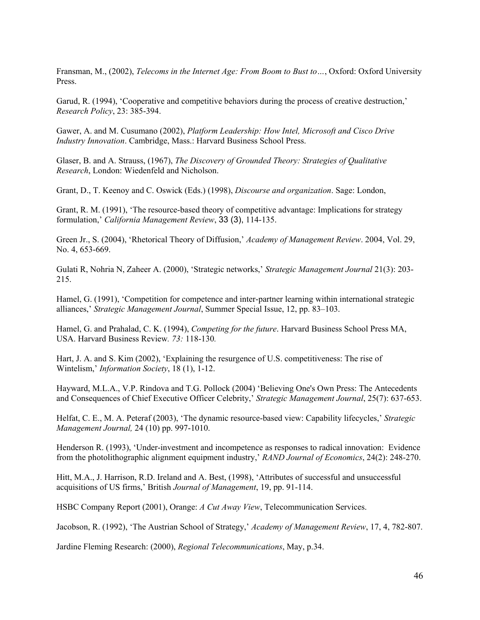Fransman, M., (2002), *Telecoms in the Internet Age: From Boom to Bust to...*, Oxford: Oxford University Press.

Garud, R. (1994), 'Cooperative and competitive behaviors during the process of creative destruction,' Research Policy, 23: 385-394.

Gawer, A. and M. Cusumano (2002), Platform Leadership: How Intel, Microsoft and Cisco Drive Industry Innovation. Cambridge, Mass.: Harvard Business School Press.

Glaser, B. and A. Strauss, (1967), The Discovery of Grounded Theory: Strategies of Qualitative Research, London: Wiedenfeld and Nicholson.

Grant, D., T. Keenoy and C. Oswick (Eds.) (1998), Discourse and organization. Sage: London,

Grant, R. M. (1991), 'The resource-based theory of competitive advantage: Implications for strategy formulation,' California Management Review, 33 (3), 114-135.

Green Jr., S. (2004), 'Rhetorical Theory of Diffusion,' Academy of Management Review. 2004, Vol. 29, No. 4, 653-669.

Gulati R, Nohria N, Zaheer A. (2000), 'Strategic networks,' Strategic Management Journal 21(3): 203- 215.

Hamel, G. (1991), 'Competition for competence and inter-partner learning within international strategic alliances,' Strategic Management Journal, Summer Special Issue, 12, pp. 83–103.

Hamel, G. and Prahalad, C. K. (1994), Competing for the future. Harvard Business School Press MA, USA. Harvard Business Review. 73: 118-130.

Hart, J. A. and S. Kim (2002), 'Explaining the resurgence of U.S. competitiveness: The rise of Wintelism,' *Information Society*, 18 (1), 1-12.

Hayward, M.L.A., V.P. Rindova and T.G. Pollock (2004) 'Believing One's Own Press: The Antecedents and Consequences of Chief Executive Officer Celebrity,' Strategic Management Journal, 25(7): 637-653.

Helfat, C. E., M. A. Peteraf (2003), 'The dynamic resource-based view: Capability lifecycles,' Strategic Management Journal, 24 (10) pp. 997-1010.

Henderson R. (1993), 'Under-investment and incompetence as responses to radical innovation: Evidence from the photolithographic alignment equipment industry,' RAND Journal of Economics, 24(2): 248-270.

Hitt, M.A., J. Harrison, R.D. Ireland and A. Best, (1998), 'Attributes of successful and unsuccessful acquisitions of US firms,' British Journal of Management, 19, pp. 91-114.

HSBC Company Report (2001), Orange: A Cut Away View, Telecommunication Services.

Jacobson, R. (1992), 'The Austrian School of Strategy,' Academy of Management Review, 17, 4, 782-807.

Jardine Fleming Research: (2000), Regional Telecommunications, May, p.34.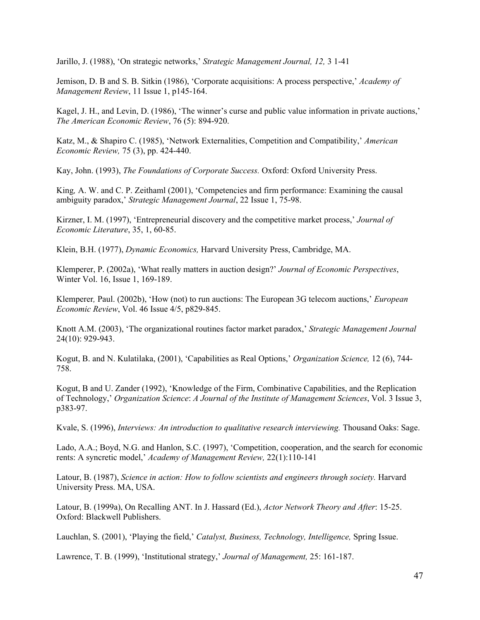Jarillo, J. (1988), 'On strategic networks,' Strategic Management Journal, 12, 3 1-41

Jemison, D. B and S. B. Sitkin (1986), 'Corporate acquisitions: A process perspective,' Academy of Management Review, 11 Issue 1, p145-164.

Kagel, J. H., and Levin, D. (1986), 'The winner's curse and public value information in private auctions,' The American Economic Review, 76 (5): 894-920.

Katz, M., & Shapiro C. (1985), 'Network Externalities, Competition and Compatibility,' American Economic Review, 75 (3), pp. 424-440.

Kay, John. (1993), The Foundations of Corporate Success. Oxford: Oxford University Press.

King, A. W. and C. P. Zeithaml (2001), 'Competencies and firm performance: Examining the causal ambiguity paradox,' Strategic Management Journal, 22 Issue 1, 75-98.

Kirzner, I. M. (1997), 'Entrepreneurial discovery and the competitive market process,' Journal of Economic Literature, 35, 1, 60-85.

Klein, B.H. (1977), Dynamic Economics, Harvard University Press, Cambridge, MA.

Klemperer, P. (2002a), 'What really matters in auction design?' Journal of Economic Perspectives, Winter Vol. 16, Issue 1, 169-189.

Klemperer, Paul. (2002b), 'How (not) to run auctions: The European 3G telecom auctions,' European Economic Review, Vol. 46 Issue 4/5, p829-845.

Knott A.M. (2003), 'The organizational routines factor market paradox,' Strategic Management Journal 24(10): 929-943.

Kogut, B. and N. Kulatilaka, (2001), 'Capabilities as Real Options,' Organization Science, 12 (6), 744- 758.

Kogut, B and U. Zander (1992), 'Knowledge of the Firm, Combinative Capabilities, and the Replication of Technology,' Organization Science: A Journal of the Institute of Management Sciences, Vol. 3 Issue 3, p383-97.

Kvale, S. (1996), Interviews: An introduction to qualitative research interviewing. Thousand Oaks: Sage.

Lado, A.A.; Boyd, N.G. and Hanlon, S.C. (1997), 'Competition, cooperation, and the search for economic rents: A syncretic model,' Academy of Management Review, 22(1):110-141

Latour, B. (1987), Science in action: How to follow scientists and engineers through society. Harvard University Press. MA, USA.

Latour, B. (1999a), On Recalling ANT. In J. Hassard (Ed.), Actor Network Theory and After: 15-25. Oxford: Blackwell Publishers.

Lauchlan, S. (2001), 'Playing the field,' Catalyst, Business, Technology, Intelligence, Spring Issue.

Lawrence, T. B. (1999), 'Institutional strategy,' Journal of Management, 25: 161-187.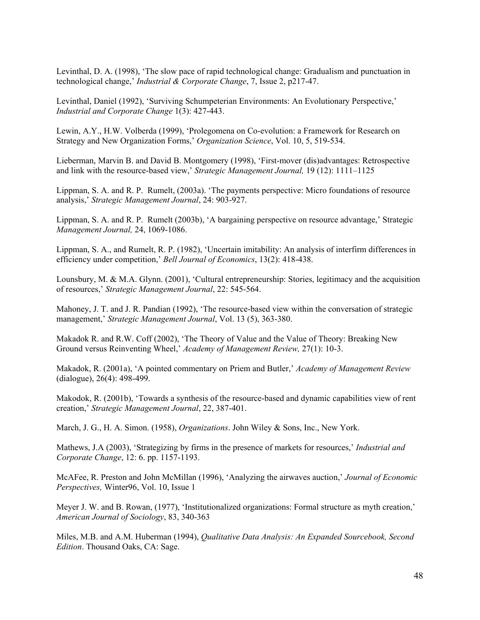Levinthal, D. A. (1998), 'The slow pace of rapid technological change: Gradualism and punctuation in technological change,' Industrial & Corporate Change, 7, Issue 2, p217-47.

Levinthal, Daniel (1992), 'Surviving Schumpeterian Environments: An Evolutionary Perspective,' Industrial and Corporate Change 1(3): 427-443.

Lewin, A.Y., H.W. Volberda (1999), 'Prolegomena on Co-evolution: a Framework for Research on Strategy and New Organization Forms,' Organization Science, Vol. 10, 5, 519-534.

Lieberman, Marvin B. and David B. Montgomery (1998), 'First-mover (dis)advantages: Retrospective and link with the resource-based view,' Strategic Management Journal, 19 (12): 1111–1125

Lippman, S. A. and R. P. Rumelt, (2003a). 'The payments perspective: Micro foundations of resource analysis,' Strategic Management Journal, 24: 903-927.

Lippman, S. A. and R. P. Rumelt (2003b), 'A bargaining perspective on resource advantage,' Strategic Management Journal, 24, 1069-1086.

Lippman, S. A., and Rumelt, R. P. (1982), 'Uncertain imitability: An analysis of interfirm differences in efficiency under competition,' Bell Journal of Economics, 13(2): 418-438.

Lounsbury, M. & M.A. Glynn. (2001), 'Cultural entrepreneurship: Stories, legitimacy and the acquisition of resources,' Strategic Management Journal, 22: 545-564.

Mahoney, J. T. and J. R. Pandian (1992), 'The resource-based view within the conversation of strategic management,' Strategic Management Journal, Vol. 13 (5), 363-380.

Makadok R. and R.W. Coff (2002), 'The Theory of Value and the Value of Theory: Breaking New Ground versus Reinventing Wheel,' Academy of Management Review, 27(1): 10-3.

Makadok, R. (2001a), 'A pointed commentary on Priem and Butler,' Academy of Management Review (dialogue), 26(4): 498-499.

Makodok, R. (2001b), 'Towards a synthesis of the resource-based and dynamic capabilities view of rent creation,' Strategic Management Journal, 22, 387-401.

March, J. G., H. A. Simon. (1958), *Organizations*. John Wiley & Sons, Inc., New York.

Mathews, J.A (2003), 'Strategizing by firms in the presence of markets for resources,' Industrial and Corporate Change, 12: 6. pp. 1157-1193.

McAFee, R. Preston and John McMillan (1996), 'Analyzing the airwaves auction,' Journal of Economic Perspectives, Winter96, Vol. 10, Issue 1

Meyer J. W. and B. Rowan, (1977), 'Institutionalized organizations: Formal structure as myth creation,' American Journal of Sociology, 83, 340-363

Miles, M.B. and A.M. Huberman (1994), Qualitative Data Analysis: An Expanded Sourcebook, Second Edition. Thousand Oaks, CA: Sage.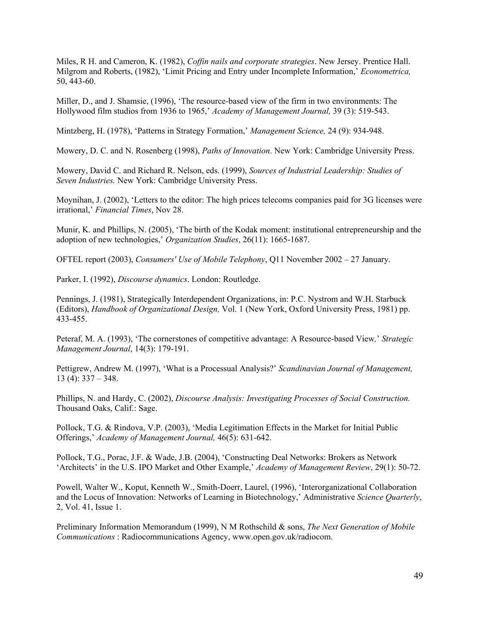Miles, R H. and Cameron, K. (1982), *Coffin nails and corporate strategies*. New Jersey. Prentice Hall. Milgrom and Roberts, (1982), 'Limit Pricing and Entry under Incomplete Information,' Econometrica, 50, 443-60.

Miller, D., and J. Shamsie, (1996), 'The resource-based view of the firm in two environments: The Hollywood film studios from 1936 to 1965,' Academy of Management Journal, 39 (3): 519-543.

Mintzberg, H. (1978), 'Patterns in Strategy Formation,' Management Science, 24 (9): 934-948.

Mowery, D. C. and N. Rosenberg (1998), Paths of Innovation. New York: Cambridge University Press.

Mowery, David C. and Richard R. Nelson, eds. (1999), Sources of Industrial Leadership: Studies of Seven Industries. New York: Cambridge University Press.

Moynihan, J. (2002), 'Letters to the editor: The high prices telecoms companies paid for 3G licenses were irrational,' Financial Times, Nov 28.

Munir, K. and Phillips, N. (2005), 'The birth of the Kodak moment: institutional entrepreneurship and the adoption of new technologies,' Organization Studies, 26(11): 1665-1687.

OFTEL report (2003), Consumers' Use of Mobile Telephony, Q11 November 2002 – 27 January.

Parker, I. (1992), Discourse dynamics. London: Routledge.

Pennings, J. (1981), Strategically Interdependent Organizations, in: P.C. Nystrom and W.H. Starbuck (Editors), Handbook of Organizational Design, Vol. 1 (New York, Oxford University Press, 1981) pp. 433-455.

Peteraf, M. A. (1993), 'The cornerstones of competitive advantage: A Resource-based View,' Strategic Management Journal, 14(3): 179-191.

Pettigrew, Andrew M. (1997), 'What is a Processual Analysis?' Scandinavian Journal of Management,  $13$  (4):  $337 - 348$ .

Phillips, N. and Hardy, C. (2002), Discourse Analysis: Investigating Processes of Social Construction. Thousand Oaks, Calif.: Sage.

Pollock, T.G. & Rindova, V.P. (2003), 'Media Legitimation Effects in the Market for Initial Public Offerings,' Academy of Management Journal, 46(5): 631-642.

Pollock, T.G., Porac, J.F. & Wade, J.B. (2004), 'Constructing Deal Networks: Brokers as Network 'Architects' in the U.S. IPO Market and Other Example,' Academy of Management Review, 29(1): 50-72.

Powell, Walter W., Koput, Kenneth W., Smith-Doerr, Laurel, (1996), 'Interorganizational Collaboration and the Locus of Innovation: Networks of Learning in Biotechnology,' Administrative Science Quarterly, 2, Vol. 41, Issue 1.

Preliminary Information Memorandum (1999), N M Rothschild & sons, The Next Generation of Mobile Communications : Radiocommunications Agency, www.open.gov.uk/radiocom.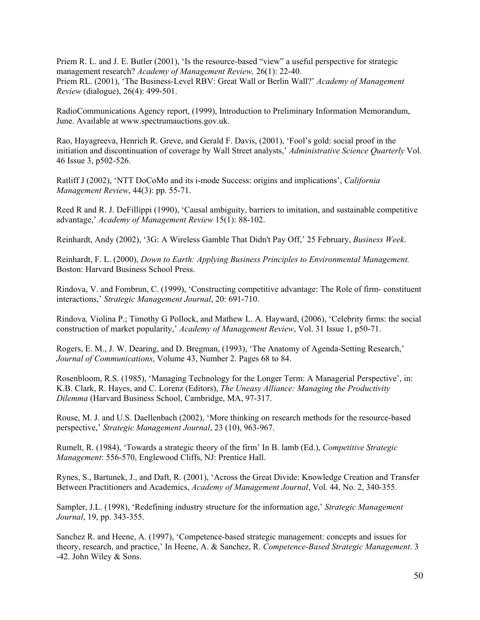Priem R. L. and J. E. Butler (2001), 'Is the resource-based "view" a useful perspective for strategic management research? Academy of Management Review, 26(1): 22-40. Priem RL. (2001), 'The Business-Level RBV: Great Wall or Berlin Wall?' Academy of Management Review (dialogue), 26(4): 499-501.

RadioCommunications Agency report, (1999), Introduction to Preliminary Information Memorandum, June. Available at www.spectrumauctions.gov.uk.

Rao, Hayagreeva, Henrich R. Greve, and Gerald F. Davis, (2001), 'Fool's gold: social proof in the initiation and discontinuation of coverage by Wall Street analysts,' Administrative Science Ouarterly Vol. 46 Issue 3, p502-526.

Ratliff J (2002), 'NTT DoCoMo and its i-mode Success: origins and implications', California Management Review, 44(3): pp. 55-71.

Reed R and R. J. DeFillippi (1990), 'Causal ambiguity, barriers to imitation, and sustainable competitive advantage,' Academy of Management Review 15(1): 88-102.

Reinhardt, Andy (2002), '3G: A Wireless Gamble That Didn't Pay Off,' 25 February, Business Week.

Reinhardt, F. L. (2000), Down to Earth: Applying Business Principles to Environmental Management. Boston: Harvard Business School Press.

Rindova, V. and Fombrun, C. (1999), 'Constructing competitive advantage: The Role of firm- constituent interactions,' Strategic Management Journal, 20: 691-710.

Rindova, Violina P.; Timothy G Pollock, and Mathew L. A. Hayward, (2006), 'Celebrity firms: the social construction of market popularity,' Academy of Management Review, Vol. 31 Issue 1, p50-71.

Rogers, E. M., J. W. Dearing, and D. Bregman, (1993), 'The Anatomy of Agenda-Setting Research,' Journal of Communications, Volume 43, Number 2. Pages 68 to 84.

Rosenbloom, R.S. (1985), 'Managing Technology for the Longer Term: A Managerial Perspective', in: K.B. Clark, R. Hayes, and C. Lorenz (Editors), The Uneasy Alliance: Managing the Productivity Dilemma (Harvard Business School, Cambridge, MA, 97-317.

Rouse, M. J. and U.S. Daellenbach (2002), 'More thinking on research methods for the resource-based perspective,' Strategic Management Journal, 23 (10), 963-967.

Rumelt, R. (1984), 'Towards a strategic theory of the firm' In B. lamb (Ed.), Competitive Strategic Management: 556-570, Englewood Cliffs, NJ: Prentice Hall.

Rynes, S., Bartunek, J., and Daft, R. (2001), 'Across the Great Divide: Knowledge Creation and Transfer Between Practitioners and Academics, Academy of Management Journal, Vol. 44, No. 2, 340-355.

Sampler, J.L. (1998), 'Redefining industry structure for the information age,' Strategic Management Journal, 19, pp. 343-355.

Sanchez R. and Heene, A. (1997), 'Competence-based strategic management: concepts and issues for theory, research, and practice,' In Heene, A. & Sanchez, R. Competence-Based Strategic Management. 3 -42. John Wiley & Sons.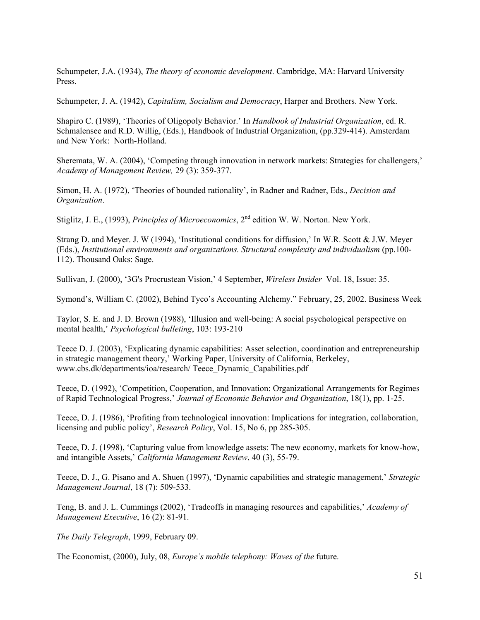Schumpeter, J.A. (1934), *The theory of economic development*. Cambridge, MA: Harvard University Press.

Schumpeter, J. A. (1942), Capitalism, Socialism and Democracy, Harper and Brothers. New York.

Shapiro C. (1989), 'Theories of Oligopoly Behavior.' In Handbook of Industrial Organization, ed. R. Schmalensee and R.D. Willig, (Eds.), Handbook of Industrial Organization, (pp.329-414). Amsterdam and New York: North-Holland.

Sheremata, W. A. (2004), 'Competing through innovation in network markets: Strategies for challengers,' Academy of Management Review, 29 (3): 359-377.

Simon, H. A. (1972), 'Theories of bounded rationality', in Radner and Radner, Eds., Decision and Organization.

Stiglitz, J. E., (1993), *Principles of Microeconomics*,  $2<sup>nd</sup>$  edition W. W. Norton. New York.

Strang D. and Meyer. J. W (1994), 'Institutional conditions for diffusion,' In W.R. Scott & J.W. Meyer (Eds.), Institutional environments and organizations. Structural complexity and individualism (pp.100- 112). Thousand Oaks: Sage.

Sullivan, J. (2000), '3G's Procrustean Vision,' 4 September, Wireless Insider Vol. 18, Issue: 35.

Symond's, William C. (2002), Behind Tyco's Accounting Alchemy." February, 25, 2002. Business Week

Taylor, S. E. and J. D. Brown (1988), 'Illusion and well-being: A social psychological perspective on mental health,' Psychological bulleting, 103: 193-210

Teece D. J. (2003), 'Explicating dynamic capabilities: Asset selection, coordination and entrepreneurship in strategic management theory,' Working Paper, University of California, Berkeley, www.cbs.dk/departments/ioa/research/ Teece\_Dynamic\_Capabilities.pdf

Teece, D. (1992), 'Competition, Cooperation, and Innovation: Organizational Arrangements for Regimes of Rapid Technological Progress,' Journal of Economic Behavior and Organization, 18(1), pp. 1-25.

Teece, D. J. (1986), 'Profiting from technological innovation: Implications for integration, collaboration, licensing and public policy', Research Policy, Vol. 15, No 6, pp 285-305.

Teece, D. J. (1998), 'Capturing value from knowledge assets: The new economy, markets for know-how, and intangible Assets,' California Management Review, 40 (3), 55-79.

Teece, D. J., G. Pisano and A. Shuen (1997), 'Dynamic capabilities and strategic management,' Strategic Management Journal, 18 (7): 509-533.

Teng, B. and J. L. Cummings (2002), 'Tradeoffs in managing resources and capabilities,' Academy of Management Executive, 16 (2): 81-91.

The Daily Telegraph, 1999, February 09.

The Economist, (2000), July, 08, Europe's mobile telephony: Waves of the future.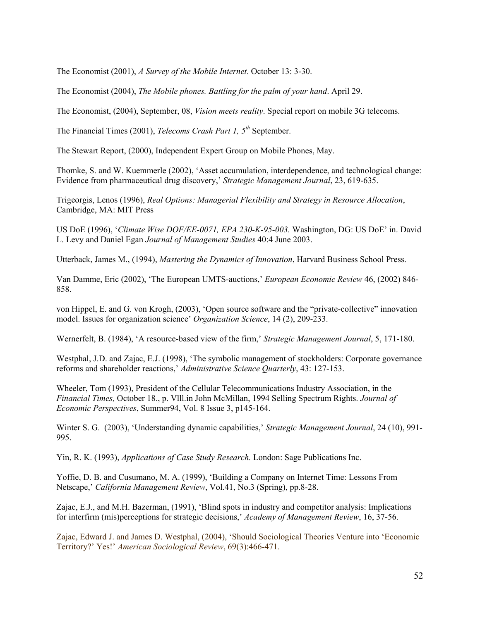The Economist (2001), A Survey of the Mobile Internet. October 13: 3-30.

The Economist (2004), The Mobile phones. Battling for the palm of your hand. April 29.

The Economist, (2004), September, 08, Vision meets reality. Special report on mobile 3G telecoms.

The Financial Times (2001), *Telecoms Crash Part 1,*  $5<sup>th</sup>$  September.

The Stewart Report, (2000), Independent Expert Group on Mobile Phones, May.

Thomke, S. and W. Kuemmerle (2002), 'Asset accumulation, interdependence, and technological change: Evidence from pharmaceutical drug discovery,' Strategic Management Journal, 23, 619-635.

Trigeorgis, Lenos (1996), Real Options: Managerial Flexibility and Strategy in Resource Allocation, Cambridge, MA: MIT Press

US DoE (1996), 'Climate Wise DOF/EE-0071, EPA 230-K-95-003. Washington, DG: US DoE' in. David L. Levy and Daniel Egan Journal of Management Studies 40:4 June 2003.

Utterback, James M., (1994), Mastering the Dynamics of Innovation, Harvard Business School Press.

Van Damme, Eric (2002), 'The European UMTS-auctions,' European Economic Review 46, (2002) 846- 858.

von Hippel, E. and G. von Krogh, (2003), 'Open source software and the "private-collective" innovation model. Issues for organization science' Organization Science, 14 (2), 209-233.

Wernerfelt, B. (1984), 'A resource-based view of the firm,' Strategic Management Journal, 5, 171-180.

Westphal, J.D. and Zajac, E.J. (1998), 'The symbolic management of stockholders: Corporate governance reforms and shareholder reactions,' Administrative Science Quarterly, 43: 127-153.

Wheeler, Tom (1993), President of the Cellular Telecommunications Industry Association, in the Financial Times, October 18., p. Vlll.in John McMillan, 1994 Selling Spectrum Rights. Journal of Economic Perspectives, Summer94, Vol. 8 Issue 3, p145-164.

Winter S. G. (2003), 'Understanding dynamic capabilities,' Strategic Management Journal, 24 (10), 991-995.

Yin, R. K. (1993), Applications of Case Study Research. London: Sage Publications Inc.

Yoffie, D. B. and Cusumano, M. A. (1999), 'Building a Company on Internet Time: Lessons From Netscape,' California Management Review, Vol.41, No.3 (Spring), pp.8-28.

Zajac, E.J., and M.H. Bazerman, (1991), 'Blind spots in industry and competitor analysis: Implications for interfirm (mis)perceptions for strategic decisions,' Academy of Management Review, 16, 37-56.

Zajac, Edward J. and James D. Westphal, (2004), 'Should Sociological Theories Venture into 'Economic Territory?' Yes!' American Sociological Review, 69(3):466-471.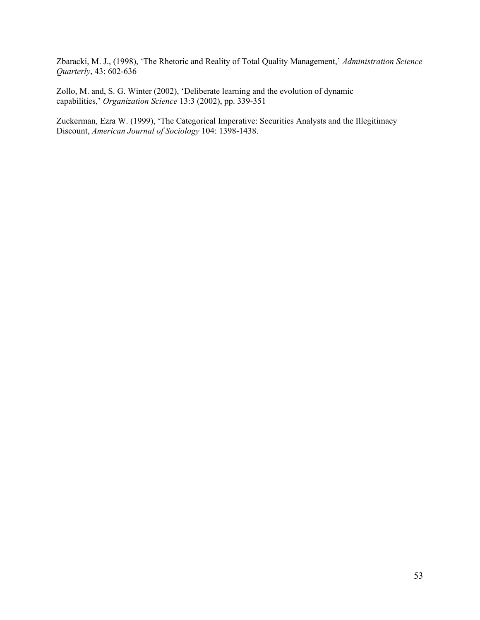Zbaracki, M. J., (1998), 'The Rhetoric and Reality of Total Quality Management,' Administration Science Quarterly, 43: 602-636

Zollo, M. and, S. G. Winter (2002), 'Deliberate learning and the evolution of dynamic capabilities,' Organization Science 13:3 (2002), pp. 339-351

Zuckerman, Ezra W. (1999), 'The Categorical Imperative: Securities Analysts and the Illegitimacy Discount, American Journal of Sociology 104: 1398-1438.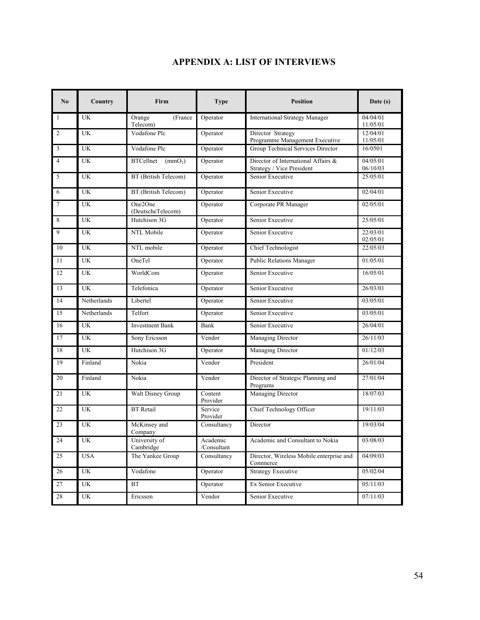# APPENDIX A: LIST OF INTERVIEWS

| No                      | Country         | Firm                                                                                                                 | <b>Type</b>                                   | <b>Position</b>                                      | Date $(s)$           |
|-------------------------|-----------------|----------------------------------------------------------------------------------------------------------------------|-----------------------------------------------|------------------------------------------------------|----------------------|
| $\mathbf{1}$            | UK              | Orange<br>(France<br>Telecom)                                                                                        | Operator                                      | <b>International Strategy Manager</b>                | 04/04/01<br>11/05/01 |
| $\overline{2}$          | <b>UK</b>       | Vodafone Plc                                                                                                         | Operator                                      | Director Strategy<br>Programme Management Executive  | 12/04/01<br>11/05/01 |
| $\overline{\mathbf{3}}$ | <b>UK</b>       | Vodafone Plc                                                                                                         | Group Technical Services Director<br>Operator |                                                      | 16/0501              |
| $\overline{4}$          | <b>UK</b>       | Director of International Affairs &<br><b>BTCellnet</b><br>$\text{(mmO}_2)$<br>Operator<br>Strategy / Vice President |                                               |                                                      | 04/05/01<br>06/10/03 |
| $\overline{5}$          | UK              | BT (British Telecom)                                                                                                 | Operator                                      | Senior Executive                                     | 25/05/01             |
| 6                       | UK              | BT (British Telecom)                                                                                                 | Operator                                      | Senior Executive                                     | 02/04/01             |
| $\overline{7}$          | UK              | One2One<br>(DeutscheTelecom)                                                                                         | Operator                                      | Corporate PR Manager                                 | 02/05/01             |
| $\,8\,$                 | $\overline{UK}$ | Hutchison 3G                                                                                                         | Operator                                      | Senior Executive                                     | 25/05/01             |
| $\overline{9}$          | <b>UK</b>       | NTL Mobile                                                                                                           | Operator                                      | Senior Executive                                     | 22/03/01<br>02/05/01 |
| 10                      | <b>UK</b>       | NTL mobile                                                                                                           | Operator                                      | Chief Technologist                                   | 22/05/03             |
| 11                      | <b>UK</b>       | OneTel                                                                                                               | Operator                                      | Public Relations Manager                             | 01/05/01             |
| 12                      | <b>UK</b>       | WorldCom                                                                                                             | Operator                                      | Senior Executive                                     | 16/05/01             |
| 13                      | <b>UK</b>       | Telefonica                                                                                                           | Operator                                      | Senior Executive                                     | 26/03/01             |
| 14                      | Netherlands     | Libertel                                                                                                             | Operator                                      | Senior Executive                                     | 03/05/01             |
| 15                      | Netherlands     | Telfort                                                                                                              | Operator                                      | Senior Executive                                     | 03/05/01             |
| 16                      | <b>UK</b>       | <b>Investment Bank</b>                                                                                               | Bank                                          | Senior Executive                                     | 26/04/01             |
| 17                      | UK              | Sony Ericsson                                                                                                        | Vendor                                        | Managing Director                                    | 26/11/03             |
| 18                      | <b>UK</b>       | Hutchison 3G                                                                                                         | Operator                                      | <b>Managing Director</b>                             | 01/12/03             |
| 19                      | Finland         | Nokia                                                                                                                | Vendor                                        | President                                            | 26/01/04             |
| 20                      | Finland         | Nokia                                                                                                                | Vendor                                        | Director of Strategic Planning and<br>Programs       | 27/01/04             |
| 21                      | <b>UK</b>       | <b>Walt Disney Group</b>                                                                                             | Content<br>Provider                           | Managing Director                                    | 18/07/03             |
| 22                      | UK              | <b>BT</b> Retail                                                                                                     | Service<br>Provider                           | Chief Technology Officer                             | 19/11/03             |
| 23                      | <b>UK</b>       | McKinsey and<br>Company                                                                                              | Consultancy                                   | Director                                             | 19/03/04             |
| 24                      | UK              | University of<br>Cambridge                                                                                           | Academic<br>/Consultant                       | Academic and Consultant to Nokia                     | 03/08/03             |
| 25                      | <b>USA</b>      | The Yankee Group                                                                                                     | Consultancy                                   | Director, Wireless Mobile enterprise and<br>Commerce | 04/09/03             |
| 26                      | <b>UK</b>       | Vodafone                                                                                                             | Operator                                      | <b>Strategy Executive</b>                            | 05/02/04             |
| 27                      | UK              | BT                                                                                                                   | Operator                                      | Ex Senior Executive                                  | 05/11/03             |
| 28                      | UK              | Ericsson                                                                                                             | Vendor                                        | Senior Executive                                     | 07/11/03             |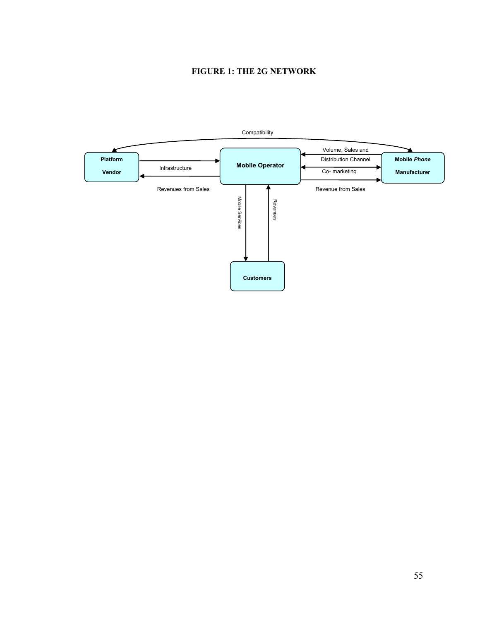# FIGURE 1: THE 2G NETWORK

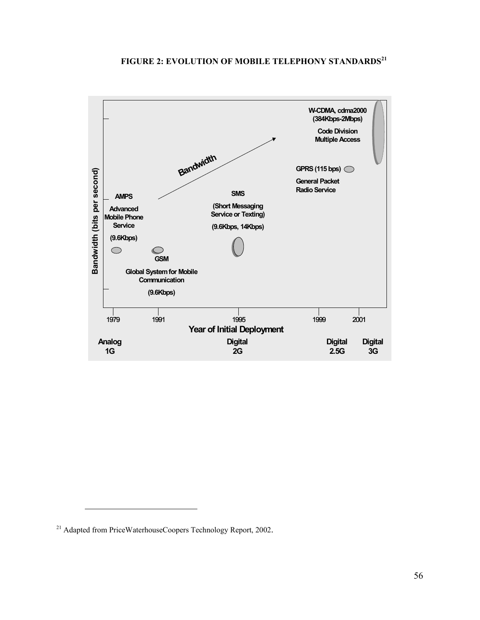# FIGURE 2: EVOLUTION OF MOBILE TELEPHONY STANDARDS<sup>21</sup>



 $\overline{a}$ 

<sup>&</sup>lt;sup>21</sup> Adapted from PriceWaterhouseCoopers Technology Report, 2002.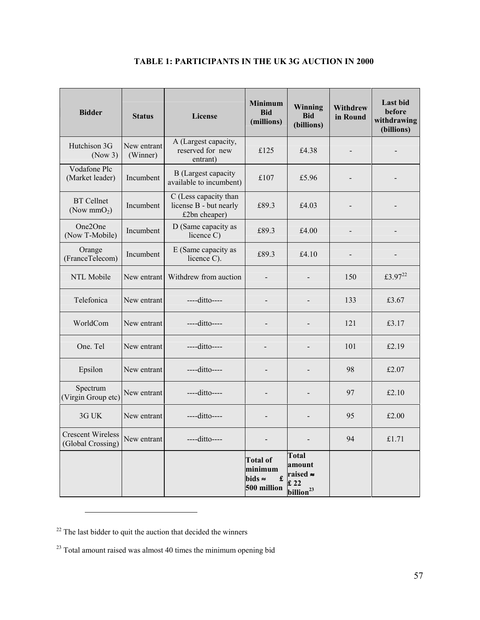| <b>Bidder</b>                                 | <b>Status</b>           | License                                                          | <b>Minimum</b><br><b>Bid</b><br>(millions)                       | Winning<br><b>Bid</b><br>(billions)                                | <b>Withdrew</b><br>in Round | <b>Last bid</b><br>before<br>withdrawing<br>(billions) |
|-----------------------------------------------|-------------------------|------------------------------------------------------------------|------------------------------------------------------------------|--------------------------------------------------------------------|-----------------------------|--------------------------------------------------------|
| Hutchison 3G<br>(Now 3)                       | New entrant<br>(Winner) | A (Largest capacity,<br>reserved for new<br>entrant)             | £125                                                             | £4.38                                                              | $\blacksquare$              |                                                        |
| Vodafone Plc<br>(Market leader)               | Incumbent               | <b>B</b> (Largest capacity<br>available to incumbent)            | £107                                                             | £5.96                                                              |                             |                                                        |
| <b>BT</b> Cellnet<br>(Now $mmO2$ )            | Incumbent               | C (Less capacity than<br>license B - but nearly<br>£2bn cheaper) | £89.3                                                            | £4.03                                                              |                             |                                                        |
| One <sub>2</sub> One<br>(Now T-Mobile)        | Incumbent               | D (Same capacity as<br>licence C)                                | £89.3                                                            | £4.00                                                              | $\overline{a}$              |                                                        |
| Orange<br>(FranceTelecom)                     | Incumbent               | E (Same capacity as<br>licence C).                               | £89.3                                                            | £4.10                                                              |                             |                                                        |
| NTL Mobile                                    | New entrant             | Withdrew from auction                                            |                                                                  |                                                                    | 150                         | £3.97 <sup>22</sup>                                    |
| Telefonica                                    | New entrant             | ----ditto----                                                    |                                                                  |                                                                    | 133                         | £3.67                                                  |
| WorldCom                                      | New entrant             | $---dito---$                                                     |                                                                  |                                                                    | 121                         | £3.17                                                  |
| One. Tel                                      | New entrant             | ----ditto----                                                    |                                                                  |                                                                    | 101                         | £2.19                                                  |
| Epsilon                                       | New entrant             | ----ditto----                                                    |                                                                  |                                                                    | 98                          | £2.07                                                  |
| Spectrum<br>(Virgin Group etc)                | New entrant             | ----ditto----                                                    |                                                                  |                                                                    | 97                          | £2.10                                                  |
| 3G UK                                         | New entrant             | ----ditto----                                                    |                                                                  |                                                                    | 95                          | £2.00                                                  |
| <b>Crescent Wireless</b><br>(Global Crossing) | New entrant             | $---dito---$                                                     |                                                                  |                                                                    | 94                          | £1.71                                                  |
|                                               |                         |                                                                  | <b>Total of</b><br>minimum<br>bids $\approx$<br>£<br>500 million | <b>Total</b><br>amount<br>raised ≈<br>£22<br>billion <sup>23</sup> |                             |                                                        |

# TABLE 1: PARTICIPANTS IN THE UK 3G AUCTION IN 2000

 $22$  The last bidder to quit the auction that decided the winners

 $\overline{a}$ 

<sup>23</sup> Total amount raised was almost 40 times the minimum opening bid